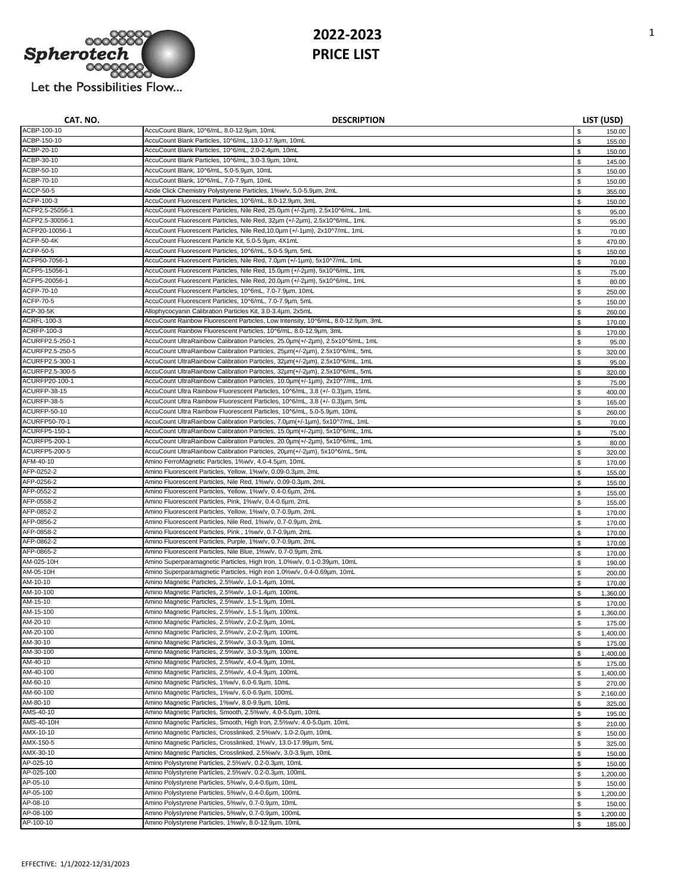

| CAT. NO.                      | <b>DESCRIPTION</b>                                                                                                                        |              | LIST (USD)       |
|-------------------------------|-------------------------------------------------------------------------------------------------------------------------------------------|--------------|------------------|
| ACBP-100-10                   | AccuCount Blank, 10^6/mL, 8.0-12.9µm, 10mL                                                                                                | \$           | 150.00           |
| ACBP-150-10                   | AccuCount Blank Particles, 10^6/mL, 13.0-17.9µm, 10mL                                                                                     | \$           | 155.00           |
| ACBP-20-10                    | AccuCount Blank Particles, 10^6/mL, 2.0-2.4um, 10mL                                                                                       | \$           | 150.00           |
| ACBP-30-10                    | AccuCount Blank Particles, 10^6/mL, 3.0-3.9µm, 10mL                                                                                       | \$           | 145.00           |
| ACBP-50-10                    | AccuCount Blank, 10^6/mL, 5.0-5.9µm, 10mL                                                                                                 | \$           | 150.00           |
| ACBP-70-10                    | AccuCount Blank, 10^6/mL, 7.0-7.9um, 10mL                                                                                                 | $\mathbb S$  | 150.00           |
| ACCP-50-5                     | Azide Click Chemistry Polystyrene Particles, 1%w/v, 5.0-5.9um, 2mL                                                                        | \$           | 355.00           |
| ACFP-100-3<br>ACFP2.5-25056-1 | AccuCount Fluorescent Particles, 10^6/mL, 8.0-12.9µm, 3mL<br>AccuCount Fluorescent Particles, Nile Red, 25.0um (+/-2um), 2.5x10^6/mL, 1mL | \$           | 150.00           |
| ACFP2.5-30056-1               | AccuCount Fluorescent Particles, Nile Red, 32um (+/-2um), 2.5x10^6/mL, 1mL                                                                | \$           | 95.00            |
| ACFP20-10056-1                | AccuCount Fluorescent Particles, Nile Red, 10.0um (+/-1um), 2x10^7/mL, 1mL                                                                | \$           | 95.00            |
| <b>ACFP-50-4K</b>             | AccuCount Fluorescent Particle Kit, 5.0-5.9µm, 4X1mL                                                                                      | \$           | 70.00            |
| <b>ACFP-50-5</b>              | AccuCount Fluorescent Particles, 10^6/mL, 5.0-5.9µm, 5mL                                                                                  | \$<br>\$     | 470.00<br>150.00 |
| ACFP50-7056-1                 | AccuCount Fluorescent Particles, Nile Red, 7.0um (+/-1um), 5x10^7/mL, 1mL                                                                 | $\mathbb S$  | 70.00            |
| ACFP5-15056-1                 | AccuCount Fluorescent Particles, Nile Red, 15.0um (+/-2um), 5x10^6/mL, 1mL                                                                | \$           | 75.00            |
| ACFP5-20056-1                 | AccuCount Fluorescent Particles, Nile Red, 20.0um (+/-2um), 5x10^6/mL, 1mL                                                                | \$           | 80.00            |
| ACFP-70-10                    | AccuCount Fluorescent Particles, 10^6mL, 7.0-7.9µm, 10mL                                                                                  | \$           | 250.00           |
| ACFP-70-5                     | AccuCount Fluorescent Particles, 10^6/mL, 7.0-7.9um, 5mL                                                                                  | \$           | 150.00           |
| ACP-30-5K                     | Allophycocyanin Calibration Particles Kit, 3.0-3.4um, 2x5mL                                                                               | \$           | 260.00           |
| ACRFL-100-3                   | AccuCount Rainbow Fluorescent Particles, Low Intensity, 10^6/mL, 8.0-12.9µm, 3mL                                                          | \$           | 170.00           |
| ACRFP-100-3                   | AccuCount Rainbow Fluorescent Particles, 10^6/mL, 8.0-12.9µm, 3mL                                                                         | \$           | 170.00           |
| ACURFP2.5-250-1               | AccuCount UltraRainbow Calibration Particles, 25.0um(+/-2um), 2.5x10^6/mL, 1mL                                                            | \$           | 95.00            |
| ACURFP2.5-250-5               | AccuCount UltraRainbow Calibration Particles, 25µm(+/-2µm), 2.5x10^6/mL, 5mL                                                              | \$           | 320.00           |
| ACURFP2.5-300-1               | AccuCount UltraRainbow Calibration Particles, 32µm(+/-2µm), 2.5x10^6/mL, 1mL                                                              | \$           | 95.00            |
| ACURFP2.5-300-5               | AccuCount UltraRainbow Calibration Particles, 32um(+/-2um), 2.5x10^6/mL, 5mL                                                              | \$           | 320.00           |
| ACURFP20-100-1                | AccuCount UltraRainbow Calibration Particles, 10.0um(+/-1um), 2x10^7/mL, 1mL                                                              | \$           | 75.00            |
| ACURFP-38-15                  | AccuCount Ultra Rainbow Fluorescent Particles, 10^6/mL, 3.8 (+/- 0.3)um, 15mL                                                             | $\mathbb{S}$ | 400.00           |
| ACURFP-38-5                   | AccuCount Ultra Rainbow Fluorescent Particles, 10^6/mL, 3.8 (+/- 0.3)µm, 5mL                                                              | \$           | 165.00           |
| ACURFP-50-10                  | AccuCount Ultra Rainbow Fluorescent Particles, 10^6/mL, 5.0-5.9um, 10mL                                                                   | $\mathbb S$  | 260.00           |
| ACURFP50-70-1                 | AccuCount UltraRainbow Calibration Particles, 7.0um(+/-1um), 5x10^7/mL, 1mL                                                               | \$           | 70.00            |
| ACURFP5-150-1                 | AccuCount UltraRainbow Calibration Particles, 15.0um(+/-2um), 5x10^6/mL, 1mL                                                              | $\mathbb S$  | 75.00            |
| <b>ACURFP5-200-1</b>          | AccuCount UltraRainbow Calibration Particles, 20.0um(+/-2um), 5x10^6/mL, 1mL                                                              | \$           | 80.00            |
| ACURFP5-200-5                 | AccuCount UltraRainbow Calibration Particles, 20um(+/-2um), 5x10^6/mL, 5mL                                                                | \$           | 320.00           |
| AFM-40-10<br>AFP-0252-2       | Amino FerroMagnetic Particles, 1%w/v, 4.0-4.5um, 10mL<br>Amino Fluorescent Particles, Yellow, 1%w/v, 0.09-0.3µm, 2mL                      | \$           | 170.00           |
| AFP-0256-2                    | Amino Fluorescent Particles, Nile Red, 1%w/v, 0.09-0.3µm, 2mL                                                                             | \$           | 155.00           |
| AFP-0552-2                    | Amino Fluorescent Particles, Yellow, 1%w/v, 0.4-0.6µm, 2mL                                                                                | \$<br>\$     | 155.00           |
| AFP-0558-2                    | Amino Fluorescent Particles, Pink, 1%w/v, 0.4-0.6um, 2mL                                                                                  | \$           | 155.00<br>155.00 |
| AFP-0852-2                    | Amino Fluorescent Particles, Yellow, 1%w/v, 0.7-0.9µm, 2mL                                                                                | $\mathbb S$  | 170.00           |
| AFP-0856-2                    | Amino Fluorescent Particles, Nile Red, 1%w/v, 0.7-0.9µm, 2mL                                                                              | $\mathbb S$  | 170.00           |
| AFP-0858-2                    | Amino Fluorescent Particles, Pink, 1%w/v, 0.7-0.9µm, 2mL                                                                                  | \$           | 170.00           |
| AFP-0862-2                    | Amino Fluorescent Particles, Purple, 1%w/v, 0.7-0.9µm, 2mL                                                                                | \$           | 170.00           |
| AFP-0865-2                    | Amino Fluorescent Particles, Nile Blue, 1%w/v, 0.7-0.9µm, 2mL                                                                             | \$           | 170.00           |
| AM-025-10H                    | Amino Superparamagnetic Particles, High Iron, 1.0%w/v, 0.1-0.39µm, 10mL                                                                   | \$           | 190.00           |
| AM-05-10H                     | Amino Superparamagnetic Particles, High iron 1.0%w/v, 0.4-0.69µm, 10mL                                                                    | \$           | 200.00           |
| AM-10-10                      | Amino Magnetic Particles, 2.5%w/v, 1.0-1.4um, 10mL                                                                                        | \$           | 170.00           |
| AM-10-100                     | Amino Magnetic Particles, 2.5%w/v, 1.0-1.4um, 100mL                                                                                       | \$           | 1,360.00         |
| AM-15-10                      | Amino Magnetic Particles, 2.5%w/v, 1.5-1.9µm, 10mL                                                                                        | \$           | 170.00           |
| AM-15-100                     | Amino Magnetic Particles, 2.5%w/v, 1.5-1.9um, 100mL                                                                                       | \$           | 1,360.00         |
| AM-20-10                      | Amino Magnetic Particles, 2.5%w/v, 2.0-2.9µm, 10mL                                                                                        |              | 175.00           |
| AM-20-100                     | Amino Magnetic Particles, 2.5%w/v, 2.0-2.9µm, 100mL                                                                                       | \$           | 1,400.00         |
| AM-30-10                      | Amino Magnetic Particles, 2.5%w/v, 3.0-3.9µm, 10mL                                                                                        | \$           | 175.00           |
| AM-30-100                     | Amino Magnetic Particles, 2.5%w/v, 3.0-3.9µm, 100mL                                                                                       | \$           | 1,400.00         |
| AM-40-10                      | Amino Magnetic Particles, 2.5%w/v, 4.0-4.9µm, 10mL                                                                                        | $\mathbb S$  | 175.00           |
| AM-40-100                     | Amino Magnetic Particles, 2.5%w/v, 4.0-4.9µm, 100mL<br>Amino Magnetic Particles, 1%w/v, 6.0-6.9um, 10mL                                   | \$           | 1,400.00         |
| AM-60-10<br>AM-60-100         | Amino Magnetic Particles, 1%w/v, 6.0-6.9µm, 100mL                                                                                         | $\mathbb S$  | 270.00           |
| AM-80-10                      | Amino Magnetic Particles, 1%w/v, 8.0-9.9µm, 10mL                                                                                          | \$           | 2,160.00         |
| AMS-40-10                     | Amino Magnetic Particles, Smooth, 2.5%w/v, 4.0-5.0um, 10mL                                                                                | \$           | 325.00           |
| AMS-40-10H                    | Amino Magnetic Particles, Smooth, High Iron, 2.5%w/v, 4.0-5.0um, 10mL                                                                     | \$<br>\$     | 195.00<br>210.00 |
| AMX-10-10                     | Amino Magnetic Particles, Crosslinked, 2.5%w/v, 1.0-2.0µm, 10mL                                                                           | \$           | 150.00           |
| AMX-150-5                     | Amino Magnetic Particles, Crosslinked, 1%w/v, 13.0-17.99µm, 5mL                                                                           | \$           | 325.00           |
| AMX-30-10                     | Amino Magnetic Particles, Crosslinked, 2.5%w/v, 3.0-3.9um, 10mL                                                                           | \$           | 150.00           |
| AP-025-10                     | Amino Polystyrene Particles, 2.5%w/v, 0.2-0.3um, 10mL                                                                                     | $\mathbb S$  | 150.00           |
| AP-025-100                    | Amino Polystyrene Particles, 2.5%w/v, 0.2-0.3µm, 100mL                                                                                    | $\mathbb S$  | 1,200.00         |
| AP-05-10                      | Amino Polystyrene Particles, 5%w/v, 0.4-0.6um, 10mL                                                                                       | $\mathbb S$  | 150.00           |
| AP-05-100                     | Amino Polystyrene Particles, 5%w/v, 0.4-0.6µm, 100mL                                                                                      | $\mathbb S$  | 1,200.00         |
| AP-08-10                      | Amino Polystyrene Particles, 5%w/v, 0.7-0.9µm, 10mL                                                                                       | \$           | 150.00           |
| AP-08-100                     | Amino Polystyrene Particles, 5%w/v, 0.7-0.9µm, 100mL                                                                                      | \$           | 1,200.00         |
| AP-100-10                     | Amino Polystyrene Particles, 1%w/v, 8.0-12.9µm, 10mL                                                                                      | \$           | 185.00           |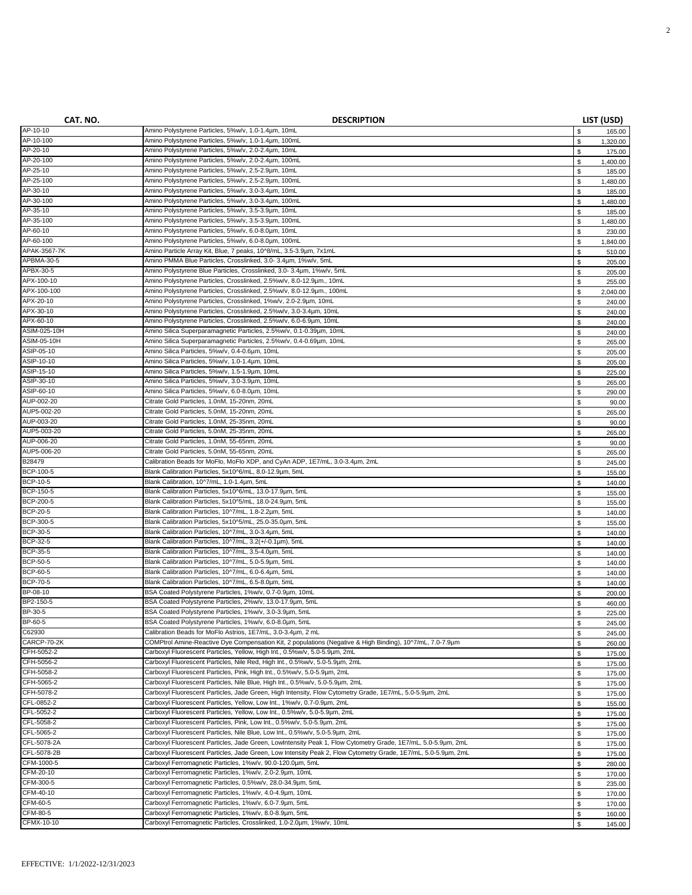| CAT. NO.                    | <b>DESCRIPTION</b>                                                                                               |             | LIST (USD)         |
|-----------------------------|------------------------------------------------------------------------------------------------------------------|-------------|--------------------|
| AP-10-10                    | Amino Polystyrene Particles, 5%w/v, 1.0-1.4um, 10mL                                                              | \$          | 165.00             |
| AP-10-100                   | Amino Polystyrene Particles, 5%w/v, 1.0-1.4um, 100mL                                                             | \$          | 1,320.00           |
| AP-20-10                    | Amino Polystyrene Particles, 5%w/v, 2.0-2.4um, 10mL                                                              | \$          | 175.00             |
| AP-20-100                   | Amino Polystyrene Particles, 5%w/v, 2.0-2.4um, 100mL                                                             | \$          | 1,400.00           |
| AP-25-10                    | Amino Polystyrene Particles, 5%w/v, 2.5-2.9um, 10mL                                                              | \$          | 185.00             |
| AP-25-100<br>AP-30-10       | Amino Polystyrene Particles, 5%w/v, 2.5-2.9um, 100mL                                                             | \$          | 1,480.00           |
| AP-30-100                   | Amino Polystyrene Particles, 5%w/v, 3.0-3.4µm, 10mL<br>Amino Polystyrene Particles, 5%w/v, 3.0-3.4um, 100mL      | \$          | 185.00             |
| AP-35-10                    | Amino Polystyrene Particles, 5%w/v, 3.5-3.9µm, 10mL                                                              | \$          | 1,480.00           |
| AP-35-100                   | Amino Polystyrene Particles, 5%w/v, 3.5-3.9µm, 100mL                                                             | \$<br>\$    | 185.00<br>1,480.00 |
| AP-60-10                    | Amino Polystyrene Particles, 5%w/v, 6.0-8.0µm, 10mL                                                              | \$          | 230.00             |
| AP-60-100                   | Amino Polystyrene Particles, 5%w/v, 6.0-8.0µm, 100mL                                                             | $\mathbb S$ | 1,840.00           |
| APAK-3567-7K                | Amino Particle Array Kit, Blue, 7 peaks, 10^8/mL, 3.5-3.9µm, 7x1mL                                               | \$          | 510.00             |
| APBMA-30-5                  | Amino PMMA Blue Particles, Crosslinked, 3.0-3.4um, 1%w/v, 5mL                                                    | \$          | 205.00             |
| APBX-30-5                   | Amino Polystyrene Blue Particles, Crosslinked, 3.0- 3.4um, 1%w/v, 5mL                                            | \$          | 205.00             |
| APX-100-10                  | Amino Polystyrene Particles, Crosslinked, 2.5%w/v, 8.0-12.9µm., 10mL                                             | \$          | 255.00             |
| APX-100-100                 | Amino Polystyrene Particles, Crosslinked, 2.5%w/v, 8.0-12.9µm., 100mL                                            | \$          | 2,040.00           |
| APX-20-10                   | Amino Polystyrene Particles, Crosslinked, 1%w/v, 2.0-2.9µm, 10mL                                                 | \$          | 240.00             |
| APX-30-10                   | Amino Polystyrene Particles, Crosslinked, 2.5%w/v, 3.0-3.4um, 10mL                                               | \$          | 240.00             |
| APX-60-10                   | Amino Polystyrene Particles, Crosslinked, 2.5%w/v, 6.0-6.9µm, 10mL                                               | \$          | 240.00             |
| ASIM-025-10H                | Amino Silica Superparamagnetic Particles, 2.5%w/v, 0.1-0.39µm, 10mL                                              | \$          | 240.00             |
| <b>ASIM-05-10H</b>          | Amino Silica Superparamagnetic Particles, 2.5%w/v, 0.4-0.69µm, 10mL                                              | \$          | 265.00             |
| ASIP-05-10                  | Amino Silica Particles, 5%w/v, 0.4-0.6µm, 10mL                                                                   | \$          | 205.00             |
| ASIP-10-10                  | Amino Silica Particles, 5%w/v, 1.0-1.4um, 10mL                                                                   | $\mathbb S$ | 205.00             |
| ASIP-15-10                  | Amino Silica Particles, 5%w/v, 1.5-1.9um, 10mL                                                                   | \$          | 225.00             |
| ASIP-30-10                  | Amino Silica Particles, 5%w/v, 3.0-3.9µm, 10mL                                                                   | \$          | 265.00             |
| ASIP-60-10<br>AUP-002-20    | Amino Silica Particles, 5%w/v, 6.0-8.0µm, 10mL<br>Citrate Gold Particles, 1.0nM, 15-20nm, 20mL                   | \$          | 290.00             |
| AUP5-002-20                 | Citrate Gold Particles, 5.0nM, 15-20nm, 20mL                                                                     | \$          | 90.00              |
| AUP-003-20                  | Citrate Gold Particles, 1.0nM, 25-35nm, 20mL                                                                     | \$          | 265.00             |
| AUP5-003-20                 | Citrate Gold Particles, 5.0nM, 25-35nm, 20mL                                                                     | \$          | 90.00              |
| AUP-006-20                  | Citrate Gold Particles, 1.0nM, 55-65nm, 20mL                                                                     | \$<br>\$    | 265.00<br>90.00    |
| AUP5-006-20                 | Citrate Gold Particles, 5.0nM, 55-65nm, 20mL                                                                     | \$          | 265.00             |
| B28479                      | Calibration Beads for MoFlo, MoFlo XDP, and CyAn ADP, 1E7/mL, 3.0-3.4um, 2mL                                     | \$          | 245.00             |
| BCP-100-5                   | Blank Calibration Particles, 5x10^6/mL, 8.0-12.9µm, 5mL                                                          | \$          | 155.00             |
| <b>BCP-10-5</b>             | Blank Calibration, 10^7/mL, 1.0-1.4µm, 5mL                                                                       | \$          | 140.00             |
| BCP-150-5                   | Blank Calibration Particles, 5x10^6/mL, 13.0-17.9µm, 5mL                                                         | \$          | 155.00             |
| <b>BCP-200-5</b>            | Blank Calibration Particles, 5x10^5/mL, 18.0-24.9µm, 5mL                                                         | $\mathbb S$ | 155.00             |
| <b>BCP-20-5</b>             | Blank Calibration Particles, 10^7/mL, 1.8-2.2µm, 5mL                                                             | \$          | 140.00             |
| BCP-300-5                   | Blank Calibration Particles, 5x10^5/mL, 25.0-35.0µm, 5mL                                                         | $\mathbb S$ | 155.00             |
| <b>BCP-30-5</b>             | Blank Calibration Particles, 10^7/mL, 3.0-3.4µm, 5mL                                                             | \$          | 140.00             |
| <b>BCP-32-5</b>             | Blank Calibration Particles, 10^7/mL, 3.2(+/-0.1µm), 5mL                                                         | \$          | 140.00             |
| <b>BCP-35-5</b>             | Blank Calibration Particles, 10^7/mL, 3.5-4.0um, 5mL                                                             | \$          | 140.00             |
| <b>BCP-50-5</b>             | Blank Calibration Particles, 10^7/mL, 5.0-5.9µm, 5mL                                                             | \$          | 140.00             |
| <b>BCP-60-5</b>             | Blank Calibration Particles, 10^7/mL, 6.0-6.4µm, 5mL                                                             | \$          | 140.00             |
| <b>BCP-70-5</b><br>BP-08-10 | Blank Calibration Particles, 10^7/mL, 6.5-8.0um, 5mL<br>BSA Coated Polystyrene Particles, 1%w/v, 0.7-0.9um, 10mL | \$          | 140.00             |
| BP2-150-5                   | BSA Coated Polystyrene Particles, 2%w/v, 13.0-17.9um, 5mL                                                        | \$          | 200.00             |
| BP-30-5                     | BSA Coated Polystyrene Particles, 1%w/v, 3.0-3.9µm, 5mL                                                          | \$<br>\$    | 460.00             |
| BP-60-5                     | BSA Coated Polystyrene Particles, 1%w/v, 6.0-8.0µm, 5mL                                                          |             | 225.00             |
| C62930                      | Calibration Beads for MoFlo Astrios, 1E7/mL, 3.0-3.4um, 2 mL                                                     | \$<br>\$    | 245.00<br>245.00   |
| CARCP-70-2K                 | COMPtrol Amine-Reactive Dye Compensation Kit, 2 populations (Negative & High Binding), 10^7/mL, 7.0-7.9µm        | \$          | 260.00             |
| CFH-5052-2                  | Carboxyl Fluorescent Particles, Yellow, High Int., 0.5%w/v, 5.0-5.9µm, 2mL                                       | \$          | 175.00             |
| CFH-5056-2                  | Carboxyl Fluorescent Particles, Nile Red, High Int., 0.5%w/v, 5.0-5.9µm, 2mL                                     | \$          | 175.00             |
| CFH-5058-2                  | Carboxyl Fluorescent Particles, Pink, High Int., 0.5%w/v, 5.0-5.9um, 2mL                                         | \$          | 175.00             |
| CFH-5065-2                  | Carboxyl Fluorescent Particles, Nile Blue, High Int., 0.5%w/v, 5.0-5.9µm, 2mL                                    | \$          | 175.00             |
| CFH-5078-2                  | Carboxyl Fluorescent Particles, Jade Green, High Intensity, Flow Cytometry Grade, 1E7/mL, 5.0-5.9µm, 2mL         | \$          | 175.00             |
| CFL-0852-2                  | Carboxyl Fluorescent Particles, Yellow, Low Int., 1%w/v, 0.7-0.9um, 2mL                                          | \$          | 155.00             |
| CFL-5052-2                  | Carboxyl Fluorescent Particles, Yellow, Low Int., 0.5%w/v, 5.0-5.9µm, 2mL                                        | \$          | 175.00             |
| CFL-5058-2                  | Carboxyl Fluorescent Particles, Pink, Low Int., 0.5%w/v, 5.0-5.9um, 2mL                                          | \$          | 175.00             |
| CFL-5065-2                  | Carboxyl Fluorescent Particles, Nile Blue, Low Int., 0.5%w/v, 5.0-5.9µm, 2mL                                     | \$          | 175.00             |
| CFL-5078-2A                 | Carboxyl Fluorescent Particles, Jade Green, LowIntensity Peak 1, Flow Cytometry Grade, 1E7/mL, 5.0-5.9µm, 2mL    | \$          | 175.00             |
| CFL-5078-2B                 | Carboxyl Fluorescent Particles, Jade Green, Low Intensity Peak 2, Flow Cytometry Grade, 1E7/mL, 5.0-5.9µm, 2mL   | \$          | 175.00             |
| CFM-1000-5                  | Carboxyl Ferromagnetic Particles, 1%w/v, 90.0-120.0um, 5mL                                                       | \$          | 280.00             |
| CFM-20-10                   | Carboxyl Ferromagnetic Particles, 1%w/v, 2.0-2.9um, 10mL                                                         | \$          | 170.00             |
| CFM-300-5                   | Carboxyl Ferromagnetic Particles, 0.5%w/v, 28.0-34.9µm, 5mL                                                      | \$          | 235.00             |
| CFM-40-10                   | Carboxyl Ferromagnetic Particles, 1%w/v, 4.0-4.9µm, 10mL                                                         | \$          | 170.00             |
| CFM-60-5                    | Carboxyl Ferromagnetic Particles, 1%w/v, 6.0-7.9um, 5mL                                                          | \$          | 170.00             |
| CFM-80-5                    | Carboxyl Ferromagnetic Particles, 1%w/v, 8.0-8.9µm, 5mL                                                          | \$          | 160.00             |
| CFMX-10-10                  | Carboxyl Ferromagnetic Particles, Crosslinked, 1.0-2.0um, 1%w/v, 10mL                                            | \$          | 145.00             |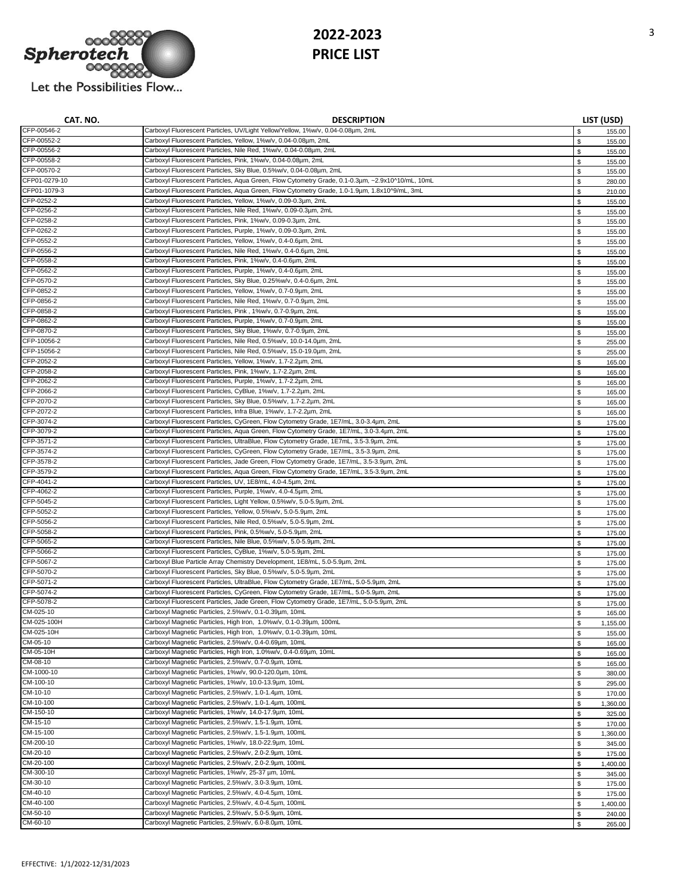

| CAT. NO.      | <b>DESCRIPTION</b>                                                                               |              | LIST (USD) |
|---------------|--------------------------------------------------------------------------------------------------|--------------|------------|
| CFP-00546-2   | Carboxyl Fluorescent Particles, UV/Light Yellow/Yellow, 1%w/v, 0.04-0.08µm, 2mL                  | \$           | 155.00     |
| CFP-00552-2   | Carboxyl Fluorescent Particles, Yellow, 1%w/v, 0.04-0.08µm, 2mL                                  | \$           | 155.00     |
| CFP-00556-2   | Carboxyl Fluorescent Particles, Nile Red, 1%w/v, 0.04-0.08um, 2mL                                | $\mathbb{S}$ | 155.00     |
| CFP-00558-2   | Carboxyl Fluorescent Particles, Pink, 1%w/v, 0.04-0.08um, 2mL                                    | \$           | 155.00     |
| CFP-00570-2   | Carboxyl Fluorescent Particles, Sky Blue, 0.5%w/v, 0.04-0.08µm, 2mL                              | $\mathbb{S}$ | 155.00     |
| CFP01-0279-10 | Carboxyl Fluorescent Particles, Aqua Green, Flow Cytometry Grade, 0.1-0.3um, ~2.9x10^10/mL, 10mL | \$           | 280.00     |
| CFP01-1079-3  | Carboxyl Fluorescent Particles, Aqua Green, Flow Cytometry Grade, 1.0-1.9µm, 1.8x10^9/mL, 3mL    | \$           | 210.00     |
| CFP-0252-2    | Carboxyl Fluorescent Particles, Yellow, 1%w/v, 0.09-0.3um, 2mL                                   | \$           | 155.00     |
| CFP-0256-2    | Carboxyl Fluorescent Particles, Nile Red, 1%w/v, 0.09-0.3µm, 2mL                                 | \$           | 155.00     |
| CFP-0258-2    | Carboxyl Fluorescent Particles, Pink, 1%w/v, 0.09-0.3µm, 2mL                                     | \$           | 155.00     |
| CFP-0262-2    | Carboxyl Fluorescent Particles, Purple, 1%w/v, 0.09-0.3um, 2mL                                   | \$           | 155.00     |
| CFP-0552-2    | Carboxyl Fluorescent Particles, Yellow, 1%w/v, 0.4-0.6um, 2mL                                    | \$           | 155.00     |
| CFP-0556-2    | Carboxyl Fluorescent Particles, Nile Red, 1%w/v, 0.4-0.6µm, 2mL                                  | \$           | 155.00     |
| CFP-0558-2    | Carboxyl Fluorescent Particles, Pink, 1%w/v, 0.4-0.6µm, 2mL                                      | \$           | 155.00     |
| CFP-0562-2    | Carboxyl Fluorescent Particles, Purple, 1%w/v, 0.4-0.6um, 2mL                                    | $\mathbb{S}$ | 155.00     |
| CFP-0570-2    | Carboxyl Fluorescent Particles, Sky Blue, 0.25%w/v, 0.4-0.6um, 2mL                               | \$           | 155.00     |
| CFP-0852-2    | Carboxyl Fluorescent Particles, Yellow, 1%w/v, 0.7-0.9µm, 2mL                                    | \$           | 155.00     |
| CFP-0856-2    | Carboxyl Fluorescent Particles, Nile Red, 1%w/v, 0.7-0.9µm, 2mL                                  | \$           |            |
| CFP-0858-2    | Carboxyl Fluorescent Particles, Pink , 1%w/v, 0.7-0.9µm, 2mL                                     |              | 155.00     |
| CFP-0862-2    | Carboxyl Fluorescent Particles, Purple, 1%w/v, 0.7-0.9µm, 2mL                                    | \$           | 155.00     |
| CFP-0870-2    |                                                                                                  | \$           | 155.00     |
| CFP-10056-2   | Carboxyl Fluorescent Particles, Sky Blue, 1%w/v, 0.7-0.9µm, 2mL                                  | \$           | 155.00     |
|               | Carboxyl Fluorescent Particles, Nile Red, 0.5%w/v, 10.0-14.0um, 2mL                              | \$           | 255.00     |
| CFP-15056-2   | Carboxyl Fluorescent Particles, Nile Red, 0.5%w/v, 15.0-19.0um, 2mL                              | \$           | 255.00     |
| CFP-2052-2    | Carboxyl Fluorescent Particles, Yellow, 1%w/v, 1.7-2.2µm, 2mL                                    | \$           | 165.00     |
| CFP-2058-2    | Carboxyl Fluorescent Particles, Pink, 1%w/v, 1.7-2.2um, 2mL                                      | \$           | 165.00     |
| CFP-2062-2    | Carboxyl Fluorescent Particles, Purple, 1%w/v, 1.7-2.2um, 2mL                                    | $\mathbb{S}$ | 165.00     |
| CFP-2066-2    | Carboxyl Fluorescent Particles, CyBlue, 1%w/v, 1.7-2.2um, 2mL                                    | $\mathbb{S}$ | 165.00     |
| CFP-2070-2    | Carboxyl Fluorescent Particles, Sky Blue, 0.5%w/v, 1.7-2.2µm, 2mL                                | $\mathbb{S}$ | 165.00     |
| CFP-2072-2    | Carboxyl Fluorescent Particles, Infra Blue, 1%w/v, 1.7-2.2um, 2mL                                | \$           | 165.00     |
| CFP-3074-2    | Carboxyl Fluorescent Particles, CyGreen, Flow Cytometry Grade, 1E7/mL, 3.0-3.4um, 2mL            | $\mathbb{S}$ | 175.00     |
| CFP-3079-2    | Carboxyl Fluorescent Particles, Aqua Green, Flow Cytometry Grade, 1E7/mL, 3.0-3.4um, 2mL         | \$           | 175.00     |
| CFP-3571-2    | Carboxyl Fluorescent Particles, UltraBlue, Flow Cytometry Grade, 1E7mL, 3.5-3.9µm, 2mL           | \$           | 175.00     |
| CFP-3574-2    | Carboxyl Fluorescent Particles, CyGreen, Flow Cytometry Grade, 1E7/mL, 3.5-3.9um, 2mL            | \$           | 175.00     |
| CFP-3578-2    | Carboxyl Fluorescent Particles, Jade Green, Flow Cytometry Grade, 1E7/mL, 3.5-3.9µm, 2mL         | \$           | 175.00     |
| CFP-3579-2    | Carboxyl Fluorescent Particles, Aqua Green, Flow Cytometry Grade, 1E7/mL, 3.5-3.9um, 2mL         | \$           | 175.00     |
| CFP-4041-2    | Carboxyl Fluorescent Particles, UV, 1E8/mL, 4.0-4.5µm, 2mL                                       | \$           | 175.00     |
| CFP-4062-2    | Carboxyl Fluorescent Particles, Purple, 1%w/v, 4.0-4.5µm, 2mL                                    | \$           | 175.00     |
| CFP-5045-2    | Carboxyl Fluorescent Particles, Light Yellow, 0.5%w/v, 5.0-5.9µm, 2mL                            | \$           | 175.00     |
| CFP-5052-2    | Carboxyl Fluorescent Particles, Yellow, 0.5%w/v, 5.0-5.9µm, 2mL                                  | \$           | 175.00     |
| CFP-5056-2    | Carboxyl Fluorescent Particles, Nile Red, 0.5%w/v, 5.0-5.9µm, 2mL                                | \$           | 175.00     |
| CFP-5058-2    | Carboxyl Fluorescent Particles, Pink, 0.5%w/v, 5.0-5.9µm, 2mL                                    | \$           | 175.00     |
| CFP-5065-2    | Carboxyl Fluorescent Particles, Nile Blue, 0.5%w/v, 5.0-5.9µm, 2mL                               | \$           | 175.00     |
| CFP-5066-2    | Carboxyl Fluorescent Particles, CyBlue, 1%w/v, 5.0-5.9µm, 2mL                                    | \$           | 175.00     |
| CFP-5067-2    | Carboxyl Blue Particle Array Chemistry Development, 1E8/mL, 5.0-5.9µm, 2mL                       | \$           | 175.00     |
| CFP-5070-2    | Carboxyl Fluorescent Particles, Sky Blue, 0.5%w/v, 5.0-5.9µm, 2mL                                | \$           | 175.00     |
| CFP-5071-2    | Carboxyl Fluorescent Particles, UltraBlue, Flow Cytometry Grade, 1E7/mL, 5.0-5.9µm, 2mL          | \$           | 175.00     |
| CFP-5074-2    | Carboxyl Fluorescent Particles, CyGreen, Flow Cytometry Grade, 1E7/mL, 5.0-5.9µm, 2mL            | \$           | 175.00     |
| CFP-5078-2    | Carboxyl Fluorescent Particles, Jade Green, Flow Cytometry Grade, 1E7/mL, 5.0-5.9um, 2mL         | \$           | 175.00     |
| CM-025-10     | Carboxyl Magnetic Particles, 2.5%w/v, 0.1-0.39µm, 10mL                                           |              |            |
| CM-025-100H   | Carboxyl Magnetic Particles, High Iron, 1.0%w/v, 0.1-0.39um, 100mL                               | \$           | 165.00     |
| CM-025-10H    | Carboxyl Magnetic Particles, High Iron, 1.0%w/v, 0.1-0.39µm, 10mL                                | \$<br>\$     | 1,155.00   |
| CM-05-10      | Carboxyl Magnetic Particles, 2.5%w/v, 0.4-0.69µm, 10mL                                           |              | 155.00     |
|               |                                                                                                  | \$           | 165.00     |
| CM-05-10H     | Carboxyl Magnetic Particles, High Iron, 1.0%w/v, 0.4-0.69µm, 10mL                                | \$           | 165.00     |
| CM-08-10      | Carboxyl Magnetic Particles, 2.5%w/v, 0.7-0.9µm, 10mL                                            | $\mathbb{S}$ | 165.00     |
| CM-1000-10    | Carboxyl Magnetic Particles, 1%w/v, 90.0-120.0um, 10mL                                           | \$           | 380.00     |
| CM-100-10     | Carboxyl Magnetic Particles, 1%w/v, 10.0-13.9um, 10mL                                            | \$           | 295.00     |
| CM-10-10      | Carboxyl Magnetic Particles, 2.5%w/v, 1.0-1.4um, 10mL                                            | $\mathbb{S}$ | 170.00     |
| CM-10-100     | Carboxyl Magnetic Particles, 2.5%w/v, 1.0-1.4um, 100mL                                           | \$           | 1,360.00   |
| CM-150-10     | Carboxyl Magnetic Particles, 1%w/v, 14.0-17.9um, 10mL                                            | \$           | 325.00     |
| CM-15-10      | Carboxyl Magnetic Particles, 2.5%w/v, 1.5-1.9µm, 10mL                                            | \$           | 170.00     |
| CM-15-100     | Carboxyl Magnetic Particles, 2.5%w/v, 1.5-1.9µm, 100mL                                           | \$           | 1,360.00   |
| CM-200-10     | Carboxyl Magnetic Particles, 1%w/v, 18.0-22.9um, 10mL                                            | \$           | 345.00     |
| CM-20-10      | Carboxyl Magnetic Particles, 2.5%w/v, 2.0-2.9µm, 10mL                                            | \$           | 175.00     |
| CM-20-100     | Carboxyl Magnetic Particles, 2.5%w/v, 2.0-2.9um, 100mL                                           | \$           | 1,400.00   |
| CM-300-10     | Carboxyl Magnetic Particles, 1%w/v, 25-37 um, 10mL                                               | \$           | 345.00     |
| CM-30-10      | Carboxyl Magnetic Particles, 2.5%w/v, 3.0-3.9µm, 10mL                                            | \$           | 175.00     |
| CM-40-10      | Carboxyl Magnetic Particles, 2.5%w/v, 4.0-4.5um, 10mL                                            | \$           | 175.00     |
| CM-40-100     | Carboxyl Magnetic Particles, 2.5%w/v, 4.0-4.5um, 100mL                                           | \$           | 1,400.00   |
| CM-50-10      | Carboxyl Magnetic Particles, 2.5%w/v, 5.0-5.9µm, 10mL                                            | \$           | 240.00     |
| CM-60-10      | Carboxyl Magnetic Particles, 2.5%w/v, 6.0-8.0um, 10mL                                            | \$           | 265.00     |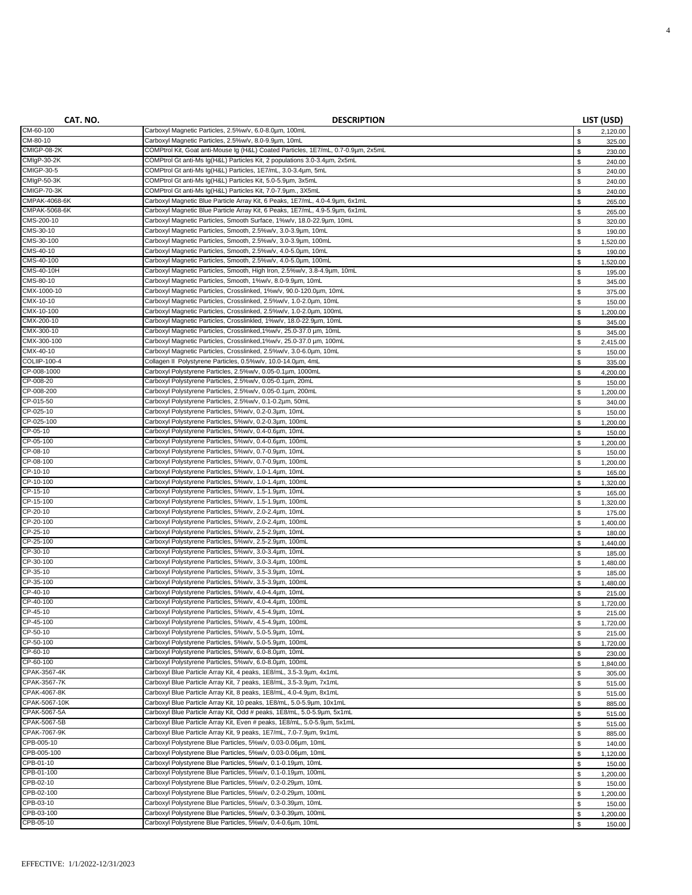| CAT. NO.                 | <b>DESCRIPTION</b>                                                                                                                        |                   | LIST (USD)         |
|--------------------------|-------------------------------------------------------------------------------------------------------------------------------------------|-------------------|--------------------|
| CM-60-100                | Carboxyl Magnetic Particles, 2.5%w/v, 6.0-8.0um, 100mL                                                                                    | \$                | 2,120.00           |
| CM-80-10                 | Carboxyl Magnetic Particles, 2.5%w/v, 8.0-9.9µm, 10mL                                                                                     | \$                | 325.00             |
| CMIGP-08-2K              | COMPtrol Kit, Goat anti-Mouse Ig (H&L) Coated Particles, 1E7/mL, 0.7-0.9µm, 2x5mL                                                         | \$                | 230.00             |
| CMIgP-30-2K              | COMPtrol Gt anti-Ms Ig(H&L) Particles Kit, 2 populations 3.0-3.4um, 2x5mL                                                                 | \$                | 240.00             |
| <b>CMIGP-30-5</b>        | COMPtrol Gt anti-Ms Ig(H&L) Particles, 1E7/mL, 3.0-3.4um, 5mL                                                                             | \$                | 240.00             |
| CMIgP-50-3K              | COMPtrol Gt anti-Ms Ig(H&L) Particles Kit, 5.0-5.9µm, 3x5mL                                                                               | \$                | 240.00             |
| CMIGP-70-3K              | COMPtrol Gt anti-Ms Ig(H&L) Particles Kit, 7.0-7.9um., 3X5mL                                                                              | \$                | 240.00             |
| CMPAK-4068-6K            | Carboxyl Magnetic Blue Particle Array Kit, 6 Peaks, 1E7/mL, 4.0-4.9um, 6x1mL                                                              | $\mathbb S$       | 265.00             |
| CMPAK-5068-6K            | Carboxyl Magnetic Blue Particle Array Kit, 6 Peaks, 1E7/mL, 4.9-5.9µm, 6x1mL                                                              | $\mathbb S$       | 265.00             |
| CMS-200-10               | Carboxyl Magnetic Particles, Smooth Surface, 1%w/v, 18.0-22.9um, 10mL                                                                     | $\mathbb S$       | 320.00             |
| CMS-30-10                | Carboxyl Magnetic Particles, Smooth, 2.5%w/v, 3.0-3.9um, 10mL                                                                             | \$                | 190.00             |
| CMS-30-100               | Carboxyl Magnetic Particles, Smooth, 2.5%w/v, 3.0-3.9µm, 100mL                                                                            | \$                | 1,520.00           |
| CMS-40-10                | Carboxyl Magnetic Particles, Smooth, 2.5%w/v, 4.0-5.0um, 10mL                                                                             | $\mathbb S$       | 190.00             |
| CMS-40-100               | Carboxyl Magnetic Particles, Smooth, 2.5%w/v, 4.0-5.0um, 100mL                                                                            | $\mathbb S$       | 1,520.00           |
| CMS-40-10H<br>CMS-80-10  | Carboxyl Magnetic Particles, Smooth, High Iron, 2.5%w/v, 3.8-4.9um, 10mL                                                                  | $\mathbb S$       | 195.00             |
|                          | Carboxyl Magnetic Particles, Smooth, 1%w/v, 8.0-9.9µm, 10mL                                                                               | $\mathbb S$       | 345.00             |
| CMX-1000-10<br>CMX-10-10 | Carboxyl Magnetic Particles, Crosslinked, 1%w/v, 90.0-120.0um, 10mL                                                                       | \$                | 375.00             |
| CMX-10-100               | Carboxyl Magnetic Particles, Crosslinked, 2.5%w/v, 1.0-2.0um, 10mL<br>Carboxyl Magnetic Particles, Crosslinked, 2.5%w/v, 1.0-2.0um, 100mL | $\mathbb S$       | 150.00             |
| CMX-200-10               | Carboxyl Magnetic Particles, Crosslinkled, 1%w/v, 18.0-22.9µm, 10mL                                                                       | \$<br>\$          | 1,200.00           |
| CMX-300-10               | Carboxyl Magnetic Particles, Crosslinked, 1%w/v, 25.0-37.0 µm, 10mL                                                                       | \$                | 345.00             |
| CMX-300-100              | Carboxyl Magnetic Particles, Crosslinked, 1%w/v, 25.0-37.0 um, 100mL                                                                      |                   | 345.00             |
| CMX-40-10                | Carboxyl Magnetic Particles, Crosslinked, 2.5%w/v, 3.0-6.0um, 10mL                                                                        | $\mathbb S$<br>\$ | 2,415.00           |
| COLIIP-100-4             | Collagen II Polystyrene Particles, 0.5%w/v, 10.0-14.0um, 4mL                                                                              | $\mathbb S$       | 150.00             |
| CP-008-1000              | Carboxyl Polystyrene Particles, 2.5%w/v, 0.05-0.1µm, 1000mL                                                                               |                   | 335.00             |
| CP-008-20                | Carboxyl Polystyrene Particles, 2.5%w/v, 0.05-0.1µm, 20mL                                                                                 | \$<br>\$          | 4,200.00<br>150.00 |
| CP-008-200               | Carboxyl Polystyrene Particles, 2.5%w/v, 0.05-0.1µm, 200mL                                                                                | \$                | 1,200.00           |
| CP-015-50                | Carboxyl Polystyrene Particles, 2.5%w/v, 0.1-0.2µm, 50mL                                                                                  | \$                | 340.00             |
| CP-025-10                | Carboxyl Polystyrene Particles, 5%w/v, 0.2-0.3um, 10mL                                                                                    | \$                | 150.00             |
| CP-025-100               | Carboxyl Polystyrene Particles, 5%w/v, 0.2-0.3um, 100mL                                                                                   | \$                | 1,200.00           |
| CP-05-10                 | Carboxyl Polystyrene Particles, 5%w/v, 0.4-0.6um, 10mL                                                                                    | \$                | 150.00             |
| CP-05-100                | Carboxyl Polystyrene Particles, 5%w/v, 0.4-0.6um, 100mL                                                                                   | \$                | 1,200.00           |
| CP-08-10                 | Carboxyl Polystyrene Particles, 5%w/v, 0.7-0.9µm, 10mL                                                                                    | $\mathbb S$       | 150.00             |
| CP-08-100                | Carboxyl Polystyrene Particles, 5%w/v, 0.7-0.9µm, 100mL                                                                                   | $\mathbb S$       | 1,200.00           |
| CP-10-10                 | Carboxyl Polystyrene Particles, 5%w/v, 1.0-1.4um, 10mL                                                                                    | $\mathbb S$       | 165.00             |
| CP-10-100                | Carboxyl Polystyrene Particles, 5%w/v, 1.0-1.4um, 100mL                                                                                   | $\mathbb S$       | 1,320.00           |
| CP-15-10                 | Carboxyl Polystyrene Particles, 5%w/v, 1.5-1.9µm, 10mL                                                                                    | \$                | 165.00             |
| CP-15-100                | Carboxyl Polystyrene Particles, 5%w/v, 1.5-1.9µm, 100mL                                                                                   | $\mathbb S$       | 1,320.00           |
| CP-20-10                 | Carboxyl Polystyrene Particles, 5%w/v, 2.0-2.4um, 10mL                                                                                    | $\mathbb S$       | 175.00             |
| CP-20-100                | Carboxyl Polystyrene Particles, 5%w/v, 2.0-2.4um, 100mL                                                                                   | $\mathbb S$       | 1,400.00           |
| CP-25-10                 | Carboxyl Polystyrene Particles, 5%w/v, 2.5-2.9um, 10mL                                                                                    | $\mathbb S$       | 180.00             |
| CP-25-100                | Carboxyl Polystyrene Particles, 5%w/v, 2.5-2.9µm, 100mL                                                                                   | \$                | 1,440.00           |
| CP-30-10                 | Carboxyl Polystyrene Particles, 5%w/v, 3.0-3.4um, 10mL                                                                                    | $\mathbb S$       | 185.00             |
| CP-30-100                | Carboxyl Polystyrene Particles, 5%w/v, 3.0-3.4um, 100mL                                                                                   | \$                | 1,480.00           |
| CP-35-10                 | Carboxyl Polystyrene Particles, 5%w/v, 3.5-3.9µm, 10mL                                                                                    | \$                | 185.00             |
| CP-35-100                | Carboxyl Polystyrene Particles, 5%w/v, 3.5-3.9µm, 100mL                                                                                   | \$                | 1,480.00           |
| CP-40-10                 | Carboxyl Polystyrene Particles, 5%w/v, 4.0-4.4um, 10mL                                                                                    | $\mathbb S$       | 215.00             |
| CP-40-100                | Carboxyl Polystyrene Particles, 5%w/v, 4.0-4.4um, 100mL                                                                                   | \$                | 1,720.00           |
| CP-45-10                 | Carboxyl Polystyrene Particles, 5%w/v, 4.5-4.9um, 10mL                                                                                    | $\mathbb S$       | 215.00             |
| CP-45-100                | Carboxyl Polystyrene Particles, 5%w/v, 4.5-4.9µm, 100mL                                                                                   | - \$              | 1,720.00           |
| CP-50-10                 | Carboxyl Polystyrene Particles, 5%w/v, 5.0-5.9um, 10mL                                                                                    | \$                | 215.00             |
| CP-50-100                | Carboxyl Polystyrene Particles, 5%w/v, 5.0-5.9µm, 100mL                                                                                   | \$                | 1,720.00           |
| CP-60-10<br>CP-60-100    | Carboxyl Polystyrene Particles, 5%w/v, 6.0-8.0um, 10mL<br>Carboxyl Polystyrene Particles, 5%w/v, 6.0-8.0µm, 100mL                         | $\mathbb S$       | 230.00             |
| CPAK-3567-4K             | Carboxyl Blue Particle Array Kit, 4 peaks, 1E8/mL, 3.5-3.9um, 4x1mL                                                                       | \$                | 1,840.00           |
| CPAK-3567-7K             | Carboxyl Blue Particle Array Kit, 7 peaks, 1E8/mL, 3.5-3.9um, 7x1mL                                                                       | \$                | 305.00             |
| CPAK-4067-8K             | Carboxyl Blue Particle Array Kit, 8 peaks, 1E8/mL, 4.0-4.9um, 8x1mL                                                                       | \$                | 515.00             |
| CPAK-5067-10K            | Carboxyl Blue Particle Array Kit, 10 peaks, 1E8/mL, 5.0-5.9um, 10x1mL                                                                     | \$<br>\$          | 515.00<br>885.00   |
| CPAK-5067-5A             | Carboxyl Blue Particle Array Kit, Odd # peaks, 1E8/mL, 5.0-5.9um, 5x1mL                                                                   | $\mathbb S$       | 515.00             |
| CPAK-5067-5B             | Carboxyl Blue Particle Array Kit, Even # peaks, 1E8/mL, 5.0-5.9µm, 5x1mL                                                                  | $\mathbb S$       | 515.00             |
| CPAK-7067-9K             | Carboxyl Blue Particle Array Kit, 9 peaks, 1E7/mL, 7.0-7.9µm, 9x1mL                                                                       | \$                | 885.00             |
| CPB-005-10               | Carboxyl Polystyrene Blue Particles, 5%w/v, 0.03-0.06µm, 10mL                                                                             | \$                | 140.00             |
| CPB-005-100              | Carboxyl Polystyrene Blue Particles, 5%w/v, 0.03-0.06um, 10mL                                                                             | $\mathbb S$       | 1,120.00           |
| CPB-01-10                | Carboxyl Polystyrene Blue Particles, 5%w/v, 0.1-0.19µm, 10mL                                                                              | \$                | 150.00             |
| CPB-01-100               | Carboxyl Polystyrene Blue Particles, 5%w/v, 0.1-0.19µm, 100mL                                                                             | $\mathbb S$       | 1,200.00           |
| CPB-02-10                | Carboxyl Polystyrene Blue Particles, 5%w/v, 0.2-0.29µm, 10mL                                                                              | $\mathbb S$       | 150.00             |
| CPB-02-100               | Carboxyl Polystyrene Blue Particles, 5%w/v, 0.2-0.29µm, 100mL                                                                             | \$                | 1,200.00           |
| CPB-03-10                | Carboxyl Polystyrene Blue Particles, 5%w/v, 0.3-0.39µm, 10mL                                                                              | $\mathbb S$       | 150.00             |
| CPB-03-100               | Carboxyl Polystyrene Blue Particles, 5%w/v, 0.3-0.39µm, 100mL                                                                             | \$                | 1,200.00           |
| CPB-05-10                | Carboxyl Polystyrene Blue Particles, 5%w/v, 0.4-0.6um, 10mL                                                                               | \$                | 150.00             |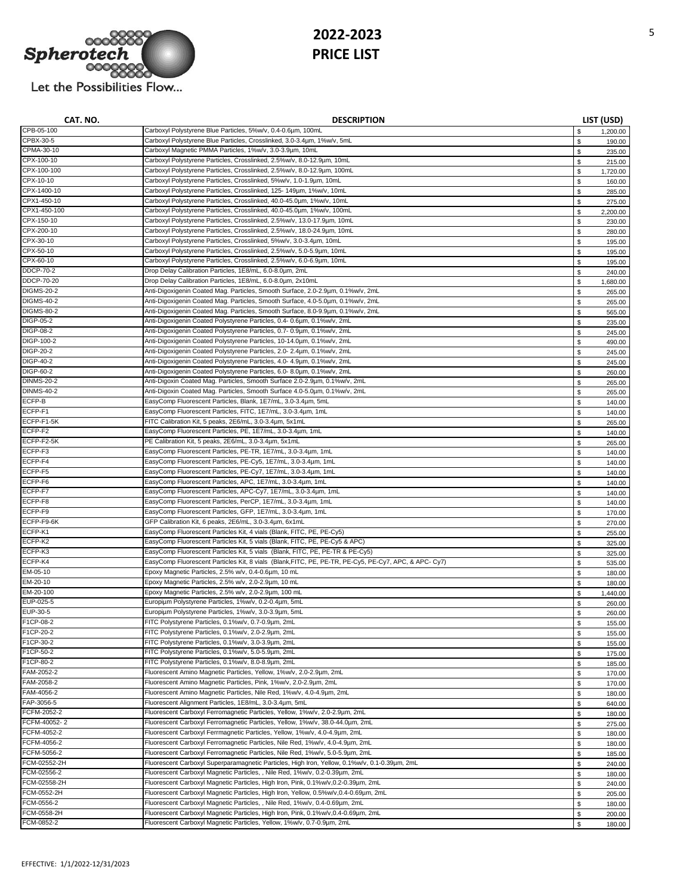

**CAT. NO. DESCRIPTION LIST (USD)** 

| CPB-05-100        | Carboxyl Polystyrene Blue Particles, 5%w/v, 0.4-0.6µm, 100mL                                         | \$ | 1,200.00 |
|-------------------|------------------------------------------------------------------------------------------------------|----|----------|
| CPBX-30-5         | Carboxyl Polystyrene Blue Particles, Crosslinked, 3.0-3.4um, 1%w/v, 5mL                              | \$ | 190.00   |
| CPMA-30-10        | Carboxyl Magnetic PMMA Particles, 1%w/v, 3.0-3.9µm, 10mL                                             | \$ | 235.00   |
| CPX-100-10        | Carboxyl Polystyrene Particles, Crosslinked, 2.5%w/v, 8.0-12.9µm, 10mL                               | \$ | 215.00   |
| CPX-100-100       | Carboxyl Polystyrene Particles, Crosslinked, 2.5%w/v, 8.0-12.9um, 100mL                              | \$ | 1,720.00 |
| CPX-10-10         | Carboxyl Polystyrene Particles, Crosslinked, 5%w/v, 1.0-1.9µm, 10mL                                  | \$ | 160.00   |
| CPX-1400-10       | Carboxyl Polystyrene Particles, Crosslinked, 125- 149um, 1%w/v, 10mL                                 |    |          |
| CPX1-450-10       |                                                                                                      | \$ | 285.00   |
|                   | Carboxyl Polystyrene Particles, Crosslinked, 40.0-45.0um, 1%w/v, 10mL                                | \$ | 275.00   |
| CPX1-450-100      | Carboxyl Polystyrene Particles, Crosslinked, 40.0-45.0um, 1%w/v, 100mL                               | \$ | 2,200.00 |
| CPX-150-10        | Carboxyl Polystyrene Particles, Crosslinked, 2.5%w/v, 13.0-17.9µm, 10mL                              | \$ | 230.00   |
| CPX-200-10        | Carboxyl Polystyrene Particles, Crosslinked, 2.5%w/v, 18.0-24.9µm, 10mL                              | \$ | 280.00   |
| CPX-30-10         | Carboxyl Polystyrene Particles, Crosslinked, 5%w/v, 3.0-3.4um, 10mL                                  | \$ | 195.00   |
| CPX-50-10         | Carboxyl Polystyrene Particles, Crosslinked, 2.5%w/v, 5.0-5.9um, 10mL                                | S  | 195.00   |
| CPX-60-10         | Carboxyl Polystyrene Particles, Crosslinked, 2.5%w/v, 6.0-6.9µm, 10mL                                | \$ | 195.00   |
| <b>DDCP-70-2</b>  | Drop Delay Calibration Particles, 1E8/mL, 6.0-8.0um, 2mL                                             | \$ | 240.00   |
| <b>DDCP-70-20</b> | Drop Delay Calibration Particles, 1E8/mL, 6.0-8.0um, 2x10mL                                          | \$ | 1,680.00 |
| <b>DIGMS-20-2</b> | Anti-Digoxigenin Coated Mag. Particles, Smooth Surface, 2.0-2.9µm, 0.1%w/v, 2mL                      | \$ | 265.00   |
| <b>DIGMS-40-2</b> | Anti-Digoxigenin Coated Mag. Particles, Smooth Surface, 4.0-5.0um, 0.1%w/v, 2mL                      |    |          |
| <b>DIGMS-80-2</b> | Anti-Digoxigenin Coated Mag. Particles, Smooth Surface, 8.0-9.9µm, 0.1%w/v, 2mL                      | \$ | 265.00   |
|                   |                                                                                                      | \$ | 565.00   |
| <b>DIGP-05-2</b>  | Anti-Digoxigenin Coated Polystyrene Particles, 0.4- 0.6um, 0.1%w/v, 2mL                              | \$ | 235.00   |
| <b>DIGP-08-2</b>  | Anti-Digoxigenin Coated Polystyrene Particles, 0.7- 0.9µm, 0.1%w/v, 2mL                              | \$ | 245.00   |
| DIGP-100-2        | Anti-Digoxigenin Coated Polystyrene Particles, 10-14.0um, 0.1%w/v, 2mL                               | \$ | 490.00   |
| DIGP-20-2         | Anti-Digoxigenin Coated Polystyrene Particles, 2.0- 2.4um, 0.1%w/v, 2mL                              | \$ | 245.00   |
| <b>DIGP-40-2</b>  | Anti-Digoxigenin Coated Polystyrene Particles, 4.0- 4.9um, 0.1%w/v, 2mL                              | \$ | 245.00   |
| <b>DIGP-60-2</b>  | Anti-Digoxigenin Coated Polystyrene Particles, 6.0- 8.0um, 0.1%w/v, 2mL                              | \$ | 260.00   |
| <b>DINMS-20-2</b> | Anti-Digoxin Coated Mag. Particles, Smooth Surface 2.0-2.9um, 0.1%w/v, 2mL                           | \$ | 265.00   |
| <b>DINMS-40-2</b> | Anti-Digoxin Coated Mag. Particles, Smooth Surface 4.0-5.0um, 0.1%w/v, 2mL                           | \$ | 265.00   |
| ECFP-B            | EasyComp Fluorescent Particles, Blank, 1E7/mL, 3.0-3.4um, 5mL                                        | \$ | 140.00   |
| ECFP-F1           | EasyComp Fluorescent Particles, FITC, 1E7/mL, 3.0-3.4um, 1mL                                         |    |          |
| ECFP-F1-5K        |                                                                                                      | \$ | 140.00   |
|                   | FITC Calibration Kit, 5 peaks, 2E6/mL, 3.0-3.4um, 5x1mL                                              | \$ | 265.00   |
| ECFP-F2           | EasyComp Fluorescent Particles, PE, 1E7/mL, 3.0-3.4µm, 1mL                                           | \$ | 140.00   |
| ECFP-F2-5K        | PE Calibration Kit, 5 peaks, 2E6/mL, 3.0-3.4um, 5x1mL                                                | \$ | 265.00   |
| ECFP-F3           | EasyComp Fluorescent Particles, PE-TR, 1E7/mL, 3.0-3.4µm, 1mL                                        | \$ | 140.00   |
| ECFP-F4           | EasyComp Fluorescent Particles, PE-Cy5, 1E7/mL, 3.0-3.4µm, 1mL                                       | \$ | 140.00   |
| ECFP-F5           | EasyComp Fluorescent Particles, PE-Cy7, 1E7/mL, 3.0-3.4um, 1mL                                       | \$ | 140.00   |
| ECFP-F6           | EasyComp Fluorescent Particles, APC, 1E7/mL, 3.0-3.4um, 1mL                                          | \$ | 140.00   |
| ECFP-F7           | EasyComp Fluorescent Particles, APC-Cy7, 1E7/mL, 3.0-3.4um, 1mL                                      | \$ | 140.00   |
| ECFP-F8           | EasyComp Fluorescent Particles, PerCP, 1E7/mL, 3.0-3.4um, 1mL                                        | \$ | 140.00   |
| ECFP-F9           | EasyComp Fluorescent Particles, GFP, 1E7/mL, 3.0-3.4um, 1mL                                          | \$ | 170.00   |
| ECFP-F9-6K        | GFP Calibration Kit, 6 peaks, 2E6/mL, 3.0-3.4um, 6x1mL                                               | S  |          |
| ECFP-K1           |                                                                                                      |    | 270.00   |
|                   | EasyComp Fluorescent Particles Kit, 4 vials (Blank, FITC, PE, PE-Cy5)                                | \$ | 255.00   |
| ECFP-K2           | EasyComp Fluorescent Particles Kit, 5 vials (Blank, FITC, PE, PE-Cy5 & APC)                          | \$ | 325.00   |
| ECFP-K3           | EasyComp Fluorescent Particles Kit, 5 vials (Blank, FITC, PE, PE-TR & PE-Cy5)                        | \$ | 325.00   |
| ECFP-K4           | EasyComp Fluorescent Particles Kit, 8 vials (Blank,FITC, PE, PE-TR, PE-Cy5, PE-Cy7, APC, & APC- Cy7) | \$ | 535.00   |
| EM-05-10          | Epoxy Magnetic Particles, 2.5% w/v, 0.4-0.6µm, 10 mL                                                 | \$ | 180.00   |
| EM-20-10          | Epoxy Magnetic Particles, 2.5% w/v, 2.0-2.9um, 10 mL                                                 | \$ | 180.00   |
| EM-20-100         | Epoxy Magnetic Particles, 2.5% w/v, 2.0-2.9µm, 100 mL                                                | \$ | 1,440.00 |
| EUP-025-5         | Europium Polystyrene Particles, 1%w/v, 0.2-0.4um, 5mL                                                | \$ | 260.00   |
| EUP-30-5          | Europiµm Polystyrene Particles, 1%w/v, 3.0-3.9µm, 5mL                                                | \$ | 260.00   |
| F1CP-08-2         | FITC Polystyrene Particles, 0.1%w/v, 0.7-0.9µm, 2mL                                                  | \$ | 155.00   |
| F1CP-20-2         | FITC Polystyrene Particles, 0.1%w/v, 2.0-2.9um, 2mL                                                  |    | 155.00   |
| F1CP-30-2         | FITC Polystyrene Particles, 0.1%w/v, 3.0-3.9µm, 2mL                                                  | \$ |          |
| F1CP-50-2         | FITC Polystyrene Particles, 0.1%w/v, 5.0-5.9µm, 2mL                                                  |    | 155.00   |
|                   |                                                                                                      | \$ | 175.00   |
| F1CP-80-2         | FITC Polystyrene Particles, 0.1%w/v, 8.0-8.9µm, 2mL                                                  | \$ | 185.00   |
| FAM-2052-2        | Fluorescent Amino Magnetic Particles, Yellow, 1%w/v, 2.0-2.9µm, 2mL                                  | \$ | 170.00   |
| FAM-2058-2        | Fluorescent Amino Magnetic Particles, Pink, 1%w/v, 2.0-2.9µm, 2mL                                    | \$ | 170.00   |
| FAM-4056-2        | Fluorescent Amino Magnetic Particles, Nile Red, 1%w/v, 4.0-4.9µm, 2mL                                | \$ | 180.00   |
| FAP-3056-5        | Fluorescent Alignment Particles, 1E8/mL, 3.0-3.4um, 5mL                                              | \$ | 640.00   |
| FCFM-2052-2       | Fluorescent Carboxyl Ferromagnetic Particles, Yellow, 1%w/v, 2.0-2.9um, 2mL                          | \$ | 180.00   |
| FCFM-40052-2      | Fluorescent Carboxyl Ferromagnetic Particles, Yellow, 1%w/v, 38.0-44.0um, 2mL                        | \$ | 275.00   |
| FCFM-4052-2       | Fluorescent Carboxyl Ferrmagnetic Particles, Yellow, 1%w/v, 4.0-4.9um, 2mL                           | \$ | 180.00   |
| FCFM-4056-2       | Fluorescent Carboxyl Ferromagnetic Particles, Nile Red, 1%w/v, 4.0-4.9µm, 2mL                        | \$ | 180.00   |
| FCFM-5056-2       | Fluorescent Carboxyl Ferromagnetic Particles, Nile Red, 1%w/v, 5.0-5.9µm, 2mL                        | \$ | 185.00   |
| FCM-02552-2H      | Fluorescent Carboxyl Superparamagnetic Particles, High Iron, Yellow, 0.1%w/v, 0.1-0.39µm, 2mL        | \$ | 240.00   |
| FCM-02556-2       | Fluorescent Carboxyl Magnetic Particles, , Nile Red, 1%w/v, 0.2-0.39µm, 2mL                          |    |          |
|                   |                                                                                                      | \$ | 180.00   |
| FCM-02558-2H      | Fluorescent Carboxyl Magnetic Particles, High Iron, Pink, 0.1%w/v,0.2-0.39µm, 2mL                    | \$ | 240.00   |
| FCM-0552-2H       | Fluorescent Carboxyl Magnetic Particles, High Iron, Yellow, 0.5%w/v,0.4-0.69µm, 2mL                  | \$ | 205.00   |
| FCM-0556-2        | Fluorescent Carboxyl Magnetic Particles, , Nile Red, 1%w/v, 0.4-0.69µm, 2mL                          | \$ | 180.00   |
| FCM-0558-2H       | Fluorescent Carboxyl Magnetic Particles, High Iron, Pink, 0.1%w/v, 0.4-0.69um, 2mL                   | \$ | 200.00   |
| FCM-0852-2        | Fluorescent Carboxyl Magnetic Particles, Yellow, 1%w/v, 0.7-0.9um, 2mL                               | \$ | 180.00   |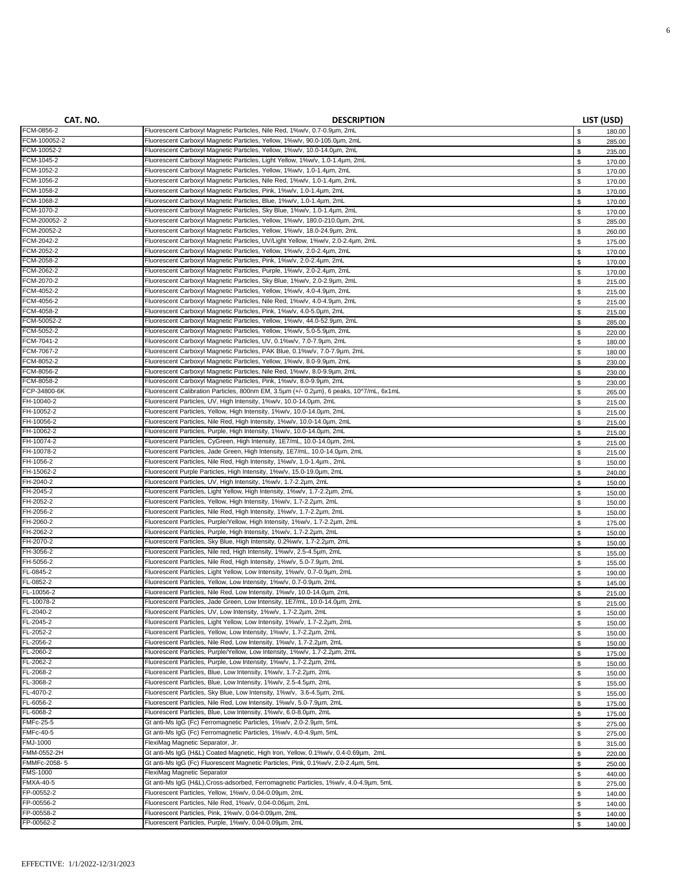| CAT. NO.<br><b>DESCRIPTION</b>                                                                                                                                                   | LIST (USD)                 |                  |
|----------------------------------------------------------------------------------------------------------------------------------------------------------------------------------|----------------------------|------------------|
| FCM-0856-2<br>Fluorescent Carboxyl Magnetic Particles, Nile Red, 1%w/v, 0.7-0.9µm, 2mL                                                                                           | \$                         | 180.00           |
| FCM-100052-2<br>Fluorescent Carboxyl Magnetic Particles, Yellow, 1%w/v, 90.0-105.0um, 2mL                                                                                        | \$                         | 285.00           |
| FCM-10052-2<br>Fluorescent Carboxyl Magnetic Particles, Yellow, 1%w/v, 10.0-14.0um, 2mL                                                                                          | \$                         | 235.00           |
| FCM-1045-2<br>Fluorescent Carboxyl Magnetic Particles, Light Yellow, 1%w/v, 1.0-1.4um, 2mL                                                                                       | \$                         | 170.00           |
| FCM-1052-2<br>Fluorescent Carboxyl Magnetic Particles, Yellow, 1%w/v, 1.0-1.4um, 2mL                                                                                             | \$                         | 170.00           |
| FCM-1056-2<br>Fluorescent Carboxyl Magnetic Particles, Nile Red, 1%w/v, 1.0-1.4um, 2mL                                                                                           | \$                         | 170.00           |
| FCM-1058-2<br>Fluorescent Carboxyl Magnetic Particles, Pink, 1%w/v, 1.0-1.4um, 2mL                                                                                               | \$                         | 170.00           |
| FCM-1068-2<br>Fluorescent Carboxyl Magnetic Particles, Blue, 1%w/v, 1.0-1.4um, 2mL                                                                                               | $\mathbb S$                | 170.00           |
| FCM-1070-2<br>Fluorescent Carboxyl Magnetic Particles, Sky Blue, 1%w/v, 1.0-1.4um, 2mL                                                                                           | \$                         | 170.00           |
| FCM-200052-2<br>Fluorescent Carboxyl Magnetic Particles, Yellow, 1%w/v, 180.0-210.0um, 2mL                                                                                       | $\mathbb S$                | 285.00           |
| FCM-20052-2<br>Fluorescent Carboxyl Magnetic Particles, Yellow, 1%w/v, 18.0-24.9um, 2mL                                                                                          | \$                         | 260.00           |
| FCM-2042-2<br>Fluorescent Carboxyl Magnetic Particles, UV/Light Yellow, 1%w/v, 2.0-2.4um, 2mL                                                                                    | \$                         | 175.00           |
| FCM-2052-2<br>Fluorescent Carboxyl Magnetic Particles, Yellow, 1%w/v, 2.0-2.4um, 2mL<br>FCM-2058-2<br>Fluorescent Carboxyl Magnetic Particles, Pink, 1%w/v, 2.0-2.4um, 2mL       | $\mathbb S$                | 170.00           |
| FCM-2062-2<br>Fluorescent Carboxyl Magnetic Particles, Purple, 1%w/v, 2.0-2.4um, 2mL                                                                                             | $\mathbb S$                | 170.00           |
| FCM-2070-2<br>Fluorescent Carboxyl Magnetic Particles, Sky Blue, 1%w/v, 2.0-2.9µm, 2mL                                                                                           | $\mathbb S$<br>$\mathbb S$ | 170.00<br>215.00 |
| FCM-4052-2<br>Fluorescent Carboxyl Magnetic Particles, Yellow, 1%w/v, 4.0-4.9um, 2mL                                                                                             | $\mathbb S$                | 215.00           |
| FCM-4056-2<br>Fluorescent Carboxyl Magnetic Particles, Nile Red, 1%w/v, 4.0-4.9µm, 2mL                                                                                           | $\mathbb S$                | 215.00           |
| FCM-4058-2<br>Fluorescent Carboxyl Magnetic Particles, Pink, 1%w/v, 4.0-5.0um, 2mL                                                                                               | \$                         | 215.00           |
| FCM-50052-2<br>Fluorescent Carboxyl Magnetic Particles, Yellow, 1%w/v, 44.0-52.9um, 2mL                                                                                          | $\mathbb S$                | 285.00           |
| FCM-5052-2<br>Fluorescent Carboxyl Magnetic Particles, Yellow, 1%w/v, 5.0-5.9µm, 2mL                                                                                             | $\mathbb S$                | 220.00           |
| FCM-7041-2<br>Fluorescent Carboxyl Magnetic Particles, UV, 0.1%w/v, 7.0-7.9um, 2mL                                                                                               | $\mathbb S$                | 180.00           |
| FCM-7067-2<br>Fluorescent Carboxyl Magnetic Particles, PAK Blue, 0.1%w/v, 7.0-7.9um, 2mL                                                                                         | $\mathbb S$                | 180.00           |
| FCM-8052-2<br>Fluorescent Carboxyl Magnetic Particles, Yellow, 1%w/v, 8.0-9.9um, 2mL                                                                                             | $\mathbb S$                | 230.00           |
| FCM-8056-2<br>Fluorescent Carboxyl Magnetic Particles, Nile Red, 1%w/v, 8.0-9.9µm, 2mL                                                                                           | \$                         | 230.00           |
| FCM-8058-2<br>Fluorescent Carboxyl Magnetic Particles, Pink, 1%w/v, 8.0-9.9µm, 2mL                                                                                               | \$                         | 230.00           |
| FCP-34800-6K<br>Fluorescent Calibration Particles, 800nm EM, 3.5um (+/- 0.2um), 6 peaks, 10^7/mL, 6x1mL                                                                          | \$                         | 265.00           |
| FH-10040-2<br>Fluorescent Particles, UV, High Intensity, 1%w/v, 10.0-14.0um, 2mL                                                                                                 | \$                         | 215.00           |
| FH-10052-2<br>Fluorescent Particles, Yellow, High Intensity, 1%w/v, 10.0-14.0um, 2mL                                                                                             | \$                         | 215.00           |
| FH-10056-2<br>Fluorescent Particles, Nile Red, High Intensity, 1%w/v, 10.0-14.0um, 2mL                                                                                           | \$                         | 215.00           |
| FH-10062-2<br>Fluorescent Particles, Purple, High Intensity, 1%w/v, 10.0-14.0um, 2mL                                                                                             | \$                         | 215.00           |
| FH-10074-2<br>Fluorescent Particles, CyGreen, High Intensity, 1E7/mL, 10.0-14.0um, 2mL                                                                                           | $\mathbb S$                | 215.00           |
| FH-10078-2<br>Fluorescent Particles, Jade Green, High Intensity, 1E7/mL, 10.0-14.0um, 2mL                                                                                        | $\mathbb S$                | 215.00           |
| FH-1056-2<br>Fluorescent Particles, Nile Red, High Intensity, 1%w/v, 1.0-1.4um., 2mL                                                                                             | $\mathbb S$                | 150.00           |
| FH-15062-2<br>Fluorescent Purple Particles, High Intensity, 1%w/v, 15.0-19.0um, 2mL                                                                                              | $\mathbb S$                | 240.00           |
| FH-2040-2<br>Fluorescent Particles, UV, High Intensity, 1%w/v, 1.7-2.2um, 2mL<br>FH-2045-2<br>Fluorescent Particles, Light Yellow, High Intensity, 1%w/v, 1.7-2.2um, 2mL         | $\mathbb S$                | 150.00           |
| FH-2052-2<br>Fluorescent Particles, Yellow, High Intensity, 1%w/v, 1.7-2.2um, 2mL                                                                                                | \$                         | 150.00           |
| FH-2056-2<br>Fluorescent Particles, Nile Red, High Intensity, 1%w/v, 1.7-2.2um, 2mL                                                                                              | $\mathbb S$<br>$\mathbb S$ | 150.00<br>150.00 |
| FH-2060-2<br>Fluorescent Particles, Purple/Yellow, High Intensity, 1%w/v, 1.7-2.2um, 2mL                                                                                         | $\mathbb S$                | 175.00           |
| FH-2062-2<br>Fluorescent Particles, Purple, High Intensity, 1%w/v, 1.7-2.2um, 2mL                                                                                                | $\mathbb S$                | 150.00           |
| FH-2070-2<br>Fluorescent Particles, Sky Blue, High Intensity, 0.2%w/v, 1.7-2.2um, 2mL                                                                                            | $\mathbb S$                | 150.00           |
| FH-3056-2<br>Fluorescent Particles, Nile red, High Intensity, 1%w/v, 2.5-4.5um, 2mL                                                                                              | $\mathbb S$                | 155.00           |
| FH-5056-2<br>Fluorescent Particles, Nile Red, High Intensity, 1%w/v, 5.0-7.9um, 2mL                                                                                              | \$                         | 155.00           |
| FL-0845-2<br>Fluorescent Particles, Light Yellow, Low Intensity, 1%w/v, 0.7-0.9um, 2mL                                                                                           | \$                         | 190.00           |
| FL-0852-2<br>Fluorescent Particles, Yellow, Low Intensity, 1%w/v, 0.7-0.9um, 2mL                                                                                                 | $\mathbb S$                | 145.00           |
| FL-10056-2<br>Fluorescent Particles, Nile Red, Low Intensity, 1%w/v, 10.0-14.0um, 2mL                                                                                            | $\mathbb S$                | 215.00           |
| FL-10078-2<br>Fluorescent Particles, Jade Green, Low Intensity, 1E7/mL, 10.0-14.0um, 2mL                                                                                         | $\mathbb S$                | 215.00           |
| FL-2040-2<br>Fluorescent Particles, UV, Low Intensity, 1%w/v, 1.7-2.2um, 2mL                                                                                                     | $\mathbb S$                | 150.00           |
| FL-2045-2<br>Fluorescent Particles, Light Yellow, Low Intensity, 1%w/v, 1.7-2.2um, 2mL                                                                                           | - \$                       | 150.00           |
| FL-2052-2<br>Fluorescent Particles, Yellow, Low Intensity, 1%w/v, 1.7-2.2um, 2mL                                                                                                 | \$                         | 150.00           |
| FL-2056-2<br>Fluorescent Particles, Nile Red, Low Intensity, 1%w/v, 1.7-2.2um, 2mL                                                                                               | \$                         | 150.00           |
| FL-2060-2<br>Fluorescent Particles, Purple/Yellow, Low Intensity, 1%w/v, 1.7-2.2um, 2mL                                                                                          | \$                         | 175.00           |
| FL-2062-2<br>Fluorescent Particles, Purple, Low Intensity, 1%w/v, 1.7-2.2um, 2mL                                                                                                 | \$                         | 150.00           |
| FL-2068-2<br>Fluorescent Particles, Blue, Low Intensity, 1%w/v, 1.7-2.2um, 2mL                                                                                                   | \$                         | 150.00           |
| FL-3068-2<br>Fluorescent Particles, Blue, Low Intensity, 1%w/v, 2.5-4.5um, 2mL                                                                                                   | \$                         | 155.00           |
| FL-4070-2<br>Fluorescent Particles, Sky Blue, Low Intensity, 1%w/v, 3.6-4.5um, 2mL                                                                                               | \$                         | 155.00           |
| FL-6056-2<br>Fluorescent Particles, Nile Red, Low Intensity, 1%w/v, 5.0-7.9um, 2mL                                                                                               | \$                         | 175.00           |
| FL-6068-2<br>Fluorescent Particles, Blue, Low Intensity, 1%w/v, 6.0-8.0um, 2mL                                                                                                   | $\mathbb S$                | 175.00           |
| <b>FMFc-25-5</b><br>Gt anti-Ms IgG (Fc) Ferromagnetic Particles, 1%w/v, 2.0-2.9µm, 5mL<br>Gt anti-Ms IgG (Fc) Ferromagnetic Particles, 1%w/v, 4.0-4.9µm, 5mL<br><b>FMFc-40-5</b> | \$                         | 275.00           |
| FMJ-1000<br>FlexiMag Magnetic Separator, Jr.                                                                                                                                     | $\mathbb S$                | 275.00           |
| Gt anti-Ms IgG (H&L) Coated Magnetic, High Iron, Yellow, 0.1%w/v, 0.4-0.69µm, 2mL<br>FMM-0552-2H                                                                                 | $\mathbb S$                | 315.00           |
| FMMFc-2058-5<br>Gt anti-Ms IgG (Fc) Fluorescent Magnetic Particles, Pink, 0.1%w/v, 2.0-2.4um, 5mL                                                                                | $\mathbb S$<br>$\mathbb S$ | 220.00           |
| FMS-1000<br>FlexiMag Magnetic Separator                                                                                                                                          | $\mathbb S$                | 250.00           |
| <b>FMXA-40-5</b><br>Gt anti-Ms IgG (H&L), Cross-adsorbed, Ferromagnetic Particles, 1%w/v, 4.0-4.9µm, 5mL                                                                         | $\mathbb S$                | 440.00<br>275.00 |
| FP-00552-2<br>Fluorescent Particles, Yellow, 1%w/v, 0.04-0.09µm, 2mL                                                                                                             | \$                         | 140.00           |
| FP-00556-2<br>Fluorescent Particles, Nile Red, 1%w/v, 0.04-0.06um, 2mL                                                                                                           |                            | 140.00           |
|                                                                                                                                                                                  |                            |                  |
| FP-00558-2<br>Fluorescent Particles, Pink, 1%w/v, 0.04-0.09µm, 2mL                                                                                                               | $\mathbb S$<br>\$          | 140.00           |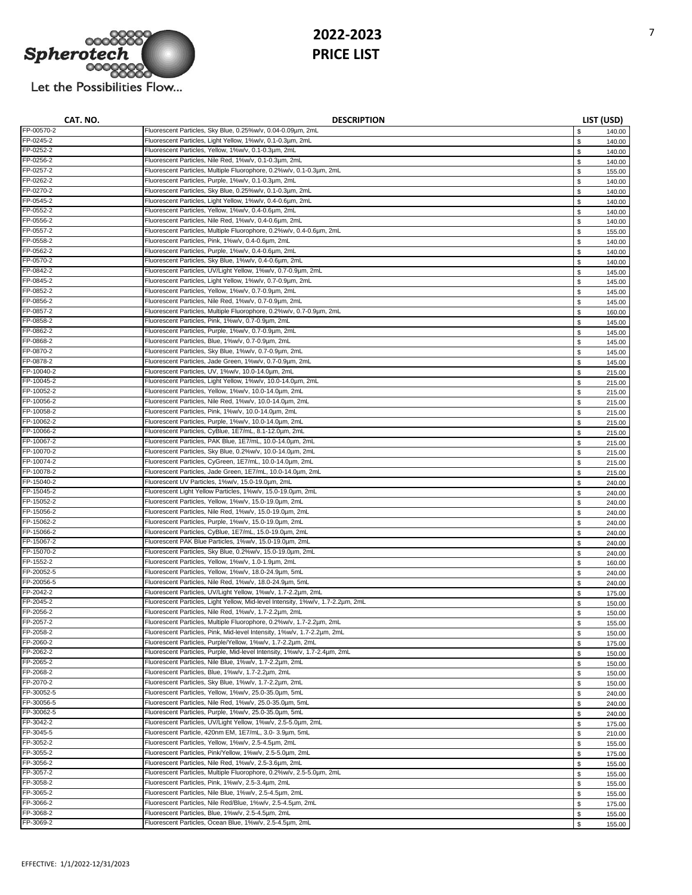

| CAT. NO.   | <b>DESCRIPTION</b>                                                              |              | LIST (USD) |
|------------|---------------------------------------------------------------------------------|--------------|------------|
| FP-00570-2 | Fluorescent Particles, Sky Blue, 0.25%w/v, 0.04-0.09µm, 2mL                     | \$           | 140.00     |
| FP-0245-2  | Fluorescent Particles, Light Yellow, 1%w/v, 0.1-0.3um, 2mL                      | $\mathbb S$  | 140.00     |
| FP-0252-2  | Fluorescent Particles, Yellow, 1%w/v, 0.1-0.3um, 2mL                            | \$           | 140.00     |
| FP-0256-2  | Fluorescent Particles, Nile Red, 1%w/v, 0.1-0.3um, 2mL                          | \$           | 140.00     |
| FP-0257-2  | Fluorescent Particles, Multiple Fluorophore, 0.2%w/v, 0.1-0.3um, 2mL            | \$           | 155.00     |
| FP-0262-2  | Fluorescent Particles, Purple, 1%w/v, 0.1-0.3um, 2mL                            | \$           | 140.00     |
| FP-0270-2  | Fluorescent Particles, Sky Blue, 0.25%w/v, 0.1-0.3µm, 2mL                       | \$           | 140.00     |
| FP-0545-2  | Fluorescent Particles, Light Yellow, 1%w/v, 0.4-0.6um, 2mL                      | \$           | 140.00     |
| FP-0552-2  | Fluorescent Particles, Yellow, 1%w/v, 0.4-0.6µm, 2mL                            | \$           | 140.00     |
| FP-0556-2  | Fluorescent Particles, Nile Red, 1%w/v, 0.4-0.6um, 2mL                          | \$           | 140.00     |
| FP-0557-2  | Fluorescent Particles, Multiple Fluorophore, 0.2%w/v, 0.4-0.6um, 2mL            | \$           | 155.00     |
| FP-0558-2  | Fluorescent Particles, Pink, 1%w/v, 0.4-0.6um, 2mL                              | \$           | 140.00     |
| FP-0562-2  | Fluorescent Particles, Purple, 1%w/v, 0.4-0.6um, 2mL                            | \$           | 140.00     |
| FP-0570-2  | Fluorescent Particles, Sky Blue, 1%w/v, 0.4-0.6um, 2mL                          | \$           | 140.00     |
| FP-0842-2  | Fluorescent Particles, UV/Light Yellow, 1%w/v, 0.7-0.9µm, 2mL                   | \$           | 145.00     |
| FP-0845-2  | Fluorescent Particles, Light Yellow, 1%w/v, 0.7-0.9um, 2mL                      | $\mathbb{S}$ | 145.00     |
| FP-0852-2  | Fluorescent Particles, Yellow, 1%w/v, 0.7-0.9µm, 2mL                            | \$           | 145.00     |
| FP-0856-2  | Fluorescent Particles, Nile Red, 1%w/v, 0.7-0.9µm, 2mL                          | \$           |            |
| FP-0857-2  | Fluorescent Particles, Multiple Fluorophore, 0.2%w/v, 0.7-0.9µm, 2mL            |              | 145.00     |
| FP-0858-2  | Fluorescent Particles, Pink, 1%w/v, 0.7-0.9µm, 2mL                              | \$           | 160.00     |
| FP-0862-2  |                                                                                 | \$           | 145.00     |
| FP-0868-2  | Fluorescent Particles, Purple, 1%w/v, 0.7-0.9µm, 2mL                            | \$           | 145.00     |
|            | Fluorescent Particles, Blue, 1%w/v, 0.7-0.9µm, 2mL                              | \$           | 145.00     |
| FP-0870-2  | Fluorescent Particles, Sky Blue, 1%w/v, 0.7-0.9µm, 2mL                          | \$           | 145.00     |
| FP-0878-2  | Fluorescent Particles, Jade Green, 1%w/v, 0.7-0.9µm, 2mL                        | \$           | 145.00     |
| FP-10040-2 | Fluorescent Particles, UV, 1%w/v, 10.0-14.0um, 2mL                              | \$           | 215.00     |
| FP-10045-2 | Fluorescent Particles, Light Yellow, 1%w/v, 10.0-14.0um, 2mL                    | \$           | 215.00     |
| FP-10052-2 | Fluorescent Particles, Yellow, 1%w/v, 10.0-14.0um, 2mL                          | $\mathbb S$  | 215.00     |
| FP-10056-2 | Fluorescent Particles, Nile Red, 1%w/v, 10.0-14.0um, 2mL                        | \$           | 215.00     |
| FP-10058-2 | Fluorescent Particles, Pink, 1%w/v, 10.0-14.0um, 2mL                            | \$           | 215.00     |
| FP-10062-2 | Fluorescent Particles, Purple, 1%w/v, 10.0-14.0um, 2mL                          | \$           | 215.00     |
| FP-10066-2 | Fluorescent Particles, CyBlue, 1E7/mL, 8.1-12.0um, 2mL                          | \$           | 215.00     |
| FP-10067-2 | Fluorescent Particles, PAK Blue, 1E7/mL, 10.0-14.0um, 2mL                       | \$           | 215.00     |
| FP-10070-2 | Fluorescent Particles, Sky Blue, 0.2%w/v, 10.0-14.0um, 2mL                      | \$           | 215.00     |
| FP-10074-2 | Fluorescent Particles, CyGreen, 1E7/mL, 10.0-14.0um, 2mL                        | \$           | 215.00     |
| FP-10078-2 | Fluorescent Particles, Jade Green, 1E7/mL, 10.0-14.0um, 2mL                     | \$           | 215.00     |
| FP-15040-2 | Fluorescent UV Particles, 1%w/v, 15.0-19.0um, 2mL                               | \$           | 240.00     |
| FP-15045-2 | Fluorescent Light Yellow Particles, 1%w/v, 15.0-19.0um, 2mL                     | \$           | 240.00     |
| FP-15052-2 | Fluorescent Particles, Yellow, 1%w/v, 15.0-19.0µm, 2mL                          | \$           | 240.00     |
| FP-15056-2 | Fluorescent Particles, Nile Red, 1%w/v, 15.0-19.0um, 2mL                        | \$           | 240.00     |
| FP-15062-2 | Fluorescent Particles, Purple, 1%w/v, 15.0-19.0um, 2mL                          | \$           | 240.00     |
| FP-15066-2 | Fluorescent Particles, CyBlue, 1E7/mL, 15.0-19.0um, 2mL                         | \$           | 240.00     |
| FP-15067-2 | Fluorescent PAK Blue Particles, 1%w/v, 15.0-19.0um, 2mL                         | \$           | 240.00     |
| FP-15070-2 | Fluorescent Particles, Sky Blue, 0.2%w/v, 15.0-19.0um, 2mL                      | \$           | 240.00     |
| FP-1552-2  | Fluorescent Particles, Yellow, 1%w/v, 1.0-1.9µm, 2mL                            | \$           | 160.00     |
| FP-20052-5 | Fluorescent Particles, Yellow, 1%w/v, 18.0-24.9µm, 5mL                          | \$           | 240.00     |
| FP-20056-5 | Fluorescent Particles, Nile Red, 1%w/v, 18.0-24.9um, 5mL                        | \$           | 240.00     |
| FP-2042-2  | Fluorescent Particles, UV/Light Yellow, 1%w/v, 1.7-2.2um, 2mL                   | \$           | 175.00     |
| FP-2045-2  | Fluorescent Particles, Light Yellow, Mid-level Intensity, 1%w/v, 1.7-2.2um, 2mL | \$           | 150.00     |
| FP-2056-2  | Fluorescent Particles, Nile Red, 1%w/v, 1.7-2.2um, 2mL                          | \$           |            |
| FP-2057-2  | Fluorescent Particles, Multiple Fluorophore, 0.2%w/v, 1.7-2.2um, 2mL            |              | 150.00     |
| FP-2058-2  | Fluorescent Particles, Pink, Mid-level Intensity, 1%w/v, 1.7-2.2um, 2mL         |              | 155.00     |
| FP-2060-2  | Fluorescent Particles, Purple/Yellow, 1%w/v, 1.7-2.2um, 2mL                     | \$           | 150.00     |
|            |                                                                                 | \$           | 175.00     |
| FP-2062-2  | Fluorescent Particles, Purple, Mid-level Intensity, 1%w/v, 1.7-2.4um, 2mL       | \$           | 150.00     |
| FP-2065-2  | Fluorescent Particles, Nile Blue, 1%w/v, 1.7-2.2um, 2mL                         | \$           | 150.00     |
| FP-2068-2  | Fluorescent Particles, Blue, 1%w/v, 1.7-2.2um, 2mL                              | \$           | 150.00     |
| FP-2070-2  | Fluorescent Particles, Sky Blue, 1%w/v, 1.7-2.2um, 2mL                          | \$           | 150.00     |
| FP-30052-5 | Fluorescent Particles, Yellow, 1%w/v, 25.0-35.0um, 5mL                          | \$           | 240.00     |
| FP-30056-5 | Fluorescent Particles, Nile Red, 1%w/v, 25.0-35.0um, 5mL                        | \$           | 240.00     |
| FP-30062-5 | Fluorescent Particles, Purple, 1%w/v, 25.0-35.0um, 5mL                          | \$           | 240.00     |
| FP-3042-2  | Fluorescent Particles, UV/Light Yellow, 1%w/v, 2.5-5.0um, 2mL                   | \$           | 175.00     |
| FP-3045-5  | Fluorescent Particle, 420nm EM, 1E7/mL, 3.0-3.9um, 5mL                          | \$           | 210.00     |
| FP-3052-2  | Fluorescent Particles, Yellow, 1%w/v, 2.5-4.5um, 2mL                            | \$           | 155.00     |
| FP-3055-2  | Fluorescent Particles, Pink/Yellow, 1%w/v, 2.5-5.0um, 2mL                       | \$           | 175.00     |
| FP-3056-2  | Fluorescent Particles, Nile Red, 1%w/v, 2.5-3.6um, 2mL                          | \$           | 155.00     |
| FP-3057-2  | Fluorescent Particles, Multiple Fluorophore, 0.2%w/v, 2.5-5.0um, 2mL            | \$           | 155.00     |
| FP-3058-2  | Fluorescent Particles, Pink, 1%w/v, 2.5-3.4um, 2mL                              | \$           | 155.00     |
| FP-3065-2  | Fluorescent Particles, Nile Blue, 1%w/v, 2.5-4.5µm, 2mL                         | \$           | 155.00     |
| FP-3066-2  | Fluorescent Particles, Nile Red/Blue, 1%w/v, 2.5-4.5um, 2mL                     | \$           | 175.00     |
| FP-3068-2  | Fluorescent Particles, Blue, 1%w/v, 2.5-4.5um, 2mL                              | \$           | 155.00     |
| FP-3069-2  | Fluorescent Particles, Ocean Blue, 1%w/v, 2.5-4.5um, 2mL                        | \$           | 155.00     |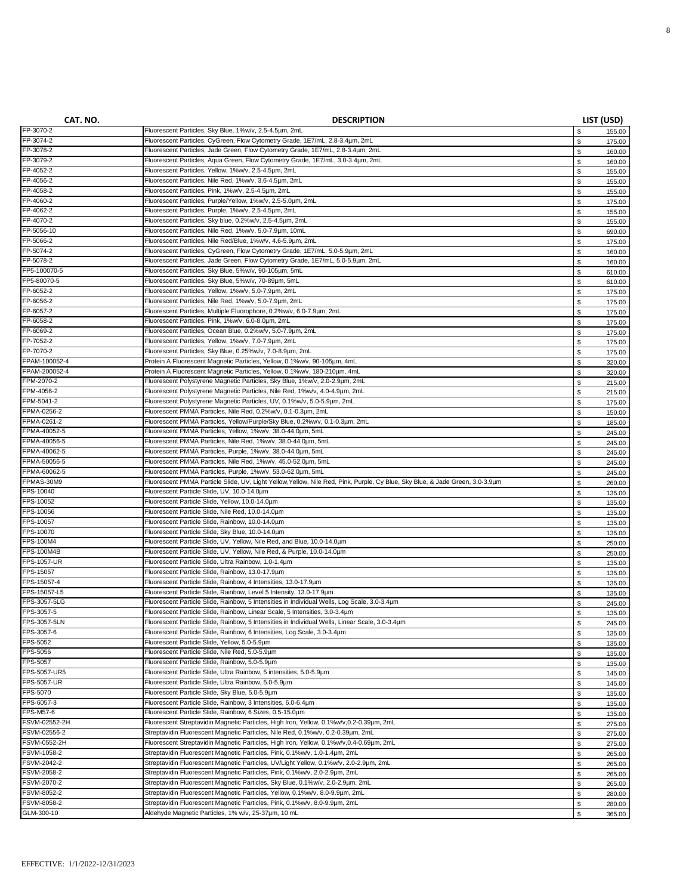| CAT. NO.          | <b>DESCRIPTION</b>                                                                                                            |             | LIST (USD) |
|-------------------|-------------------------------------------------------------------------------------------------------------------------------|-------------|------------|
| FP-3070-2         | Fluorescent Particles, Sky Blue, 1%w/v, 2.5-4.5um, 2mL                                                                        | \$          | 155.00     |
| FP-3074-2         | Fluorescent Particles, CyGreen, Flow Cytometry Grade, 1E7/mL, 2.8-3.4um, 2mL                                                  | \$          | 175.00     |
| FP-3078-2         | Fluorescent Particles, Jade Green, Flow Cytometry Grade, 1E7/mL, 2.8-3.4um, 2mL                                               | \$          | 160.00     |
| FP-3079-2         | Fluorescent Particles, Aqua Green, Flow Cytometry Grade, 1E7/mL, 3.0-3.4um, 2mL                                               | \$          | 160.00     |
| FP-4052-2         | Fluorescent Particles, Yellow, 1%w/v, 2.5-4.5um, 2mL                                                                          | \$          | 155.00     |
| FP-4056-2         | Fluorescent Particles, Nile Red, 1%w/v, 3.6-4.5um, 2mL                                                                        | \$          | 155.00     |
| FP-4058-2         | Fluorescent Particles, Pink, 1%w/v, 2.5-4.5um, 2mL                                                                            | \$          | 155.00     |
| FP-4060-2         | Fluorescent Particles, Purple/Yellow, 1%w/v, 2.5-5.0um, 2mL                                                                   | \$          | 175.00     |
| FP-4062-2         | Fluorescent Particles, Purple, 1%w/v, 2.5-4.5um, 2mL                                                                          | \$          | 155.00     |
| FP-4070-2         | Fluorescent Particles, Sky blue, 0.2%w/v, 2.5-4.5um, 2mL                                                                      | \$          | 155.00     |
| FP-5056-10        | Fluorescent Particles, Nile Red, 1%w/v, 5.0-7.9µm, 10mL                                                                       | \$          | 690.00     |
| FP-5066-2         | Fluorescent Particles, Nile Red/Blue, 1%w/v, 4.6-5.9µm, 2mL                                                                   | \$          | 175.00     |
| FP-5074-2         | Fluorescent Particles, CyGreen, Flow Cytometry Grade, 1E7/mL, 5.0-5.9µm, 2mL                                                  | \$          | 160.00     |
| FP-5078-2         | Fluorescent Particles, Jade Green, Flow Cytometry Grade, 1E7/mL, 5.0-5.9µm, 2mL                                               | \$          | 160.00     |
| FP5-100070-5      | Fluorescent Particles, Sky Blue, 5%w/v, 90-105um, 5mL                                                                         | \$          | 610.00     |
| FP5-80070-5       | Fluorescent Particles, Sky Blue, 5%w/v, 70-89µm, 5mL                                                                          | \$          | 610.00     |
| FP-6052-2         | Fluorescent Particles, Yellow, 1%w/v, 5.0-7.9µm, 2mL                                                                          | \$          | 175.00     |
| FP-6056-2         | Fluorescent Particles, Nile Red, 1%w/v, 5.0-7.9µm, 2mL                                                                        | \$          | 175.00     |
| FP-6057-2         | Fluorescent Particles, Multiple Fluorophore, 0.2%w/v, 6.0-7.9µm, 2mL                                                          | \$          | 175.00     |
| FP-6058-2         | Fluorescent Particles, Pink, 1%w/v, 6.0-8.0um, 2mL                                                                            | \$          | 175.00     |
| FP-6069-2         | Fluorescent Particles, Ocean Blue, 0.2%w/v, 5.0-7.9µm, 2mL                                                                    | \$          | 175.00     |
| FP-7052-2         | Fluorescent Particles, Yellow, 1%w/v, 7.0-7.9µm, 2mL                                                                          | \$          | 175.00     |
| FP-7070-2         | Fluorescent Particles, Sky Blue, 0.25%w/v, 7.0-8.9µm, 2mL                                                                     | \$          | 175.00     |
| FPAM-100052-4     | Protein A Fluorescent Magnetic Particles, Yellow, 0.1%w/v, 90-105um, 4mL                                                      | $\mathbb S$ | 320.00     |
| FPAM-200052-4     | Protein A Fluorescent Magnetic Particles, Yellow, 0.1%w/v, 180-210um, 4mL                                                     | \$          | 320.00     |
| FPM-2070-2        | Fluorescent Polystyrene Magnetic Particles, Sky Blue, 1%w/v, 2.0-2.9um, 2mL                                                   | \$          | 215.00     |
| FPM-4056-2        | Fluorescent Polystyrene Magnetic Particles, Nile Red, 1%w/v, 4.0-4.9um, 2mL                                                   | \$          | 215.00     |
| FPM-5041-2        | Fluorescent Polystyrene Magnetic Particles, UV, 0.1%w/v, 5.0-5.9um, 2mL                                                       | \$          | 175.00     |
| FPMA-0256-2       | Fluorescent PMMA Particles, Nile Red, 0.2%w/v, 0.1-0.3µm, 2mL                                                                 | \$          | 150.00     |
| FPMA-0261-2       | Fluorescent PMMA Particles, Yellow/Purple/Sky Blue, 0.2%w/v, 0.1-0.3um, 2mL                                                   | \$          | 185.00     |
| FPMA-40052-5      | Fluorescent PMMA Particles, Yellow, 1%w/v, 38.0-44.0um, 5mL                                                                   | \$          | 245.00     |
| FPMA-40056-5      | Fluorescent PMMA Particles, Nile Red, 1%w/v, 38.0-44.0um, 5mL                                                                 | \$          | 245.00     |
| FPMA-40062-5      | Fluorescent PMMA Particles, Purple, 1%w/v, 38.0-44.0um, 5mL                                                                   | \$          | 245.00     |
| FPMA-50056-5      | Fluorescent PMMA Particles, Nile Red, 1%w/v, 45.0-52.0um, 5mL                                                                 | \$          | 245.00     |
| FPMA-60062-5      | Fluorescent PMMA Particles, Purple, 1%w/v, 53.0-62.0um, 5mL                                                                   | \$          | 245.00     |
| FPMAS-30M9        | Fluorescent PMMA Particle Slide, UV, Light Yellow, Yellow, Nile Red, Pink, Purple, Cy Blue, Sky Blue, & Jade Green, 3.0-3.9um | \$          | 260.00     |
| FPS-10040         | Fluorescent Particle Slide, UV, 10.0-14.0um                                                                                   | \$          | 135.00     |
| FPS-10052         | Fluorescent Particle Slide, Yellow, 10.0-14.0um                                                                               | \$          | 135.00     |
| FPS-10056         | Fluorescent Particle Slide, Nile Red, 10.0-14.0um                                                                             | \$          | 135.00     |
| FPS-10057         | Fluorescent Particle Slide, Rainbow, 10.0-14.0um                                                                              | \$          | 135.00     |
| FPS-10070         | Fluorescent Particle Slide, Sky Blue, 10.0-14.0um                                                                             | \$          | 135.00     |
| FPS-100M4         | Fluorescent Particle Slide, UV, Yellow, Nile Red, and Blue, 10.0-14.0um                                                       | \$          | 250.00     |
| <b>FPS-100M4B</b> | Fluorescent Particle Slide, UV, Yellow, Nile Red, & Purple, 10.0-14.0um                                                       | \$          | 250.00     |
| FPS-1057-UR       | Fluorescent Particle Slide, Ultra Rainbow, 1.0-1.4um                                                                          | \$          | 135.00     |
| FPS-15057         | Fluorescent Particle Slide, Rainbow, 13.0-17.9um                                                                              | \$          | 135.00     |
| FPS-15057-4       | Fluorescent Particle Slide, Rainbow, 4 Intensities, 13.0-17.9um                                                               | \$          | 135.00     |
| FPS-15057-L5      | Fluorescent Particle Slide, Rainbow, Level 5 Intensity, 13.0-17.9um                                                           | \$          | 135.00     |
| FPS-3057-5LG      | Fluorescent Particle Slide, Rainbow, 5 Intensities in Individual Wells, Log Scale, 3.0-3.4um                                  | \$          | 245.00     |
| FPS-3057-5        | Fluorescent Particle Slide, Rainbow, Linear Scale, 5 Intensities, 3.0-3.4um                                                   | \$          | 135.00     |
| FPS-3057-5LN      | Fluorescent Particle Slide, Rainbow, 5 Intensities in Individual Wells, Linear Scale, 3.0-3.4µm                               | \$          | 245.00     |
| FPS-3057-6        | Fluorescent Particle Slide, Rainbow, 6 Intensities, Log Scale, 3.0-3.4um                                                      | \$          | 135.00     |
| FPS-5052          | Fluorescent Particle Slide, Yellow, 5.0-5.9um                                                                                 | \$          | 135.00     |
| FPS-5056          | Fluorescent Particle Slide, Nile Red, 5.0-5.9um                                                                               | \$          | 135.00     |
| FPS-5057          | Fluorescent Particle Slide, Rainbow, 5.0-5.9um                                                                                | \$          | 135.00     |
| FPS-5057-UR5      | Fluorescent Particle Slide, Ultra Rainbow, 5 intensities, 5.0-5.9um                                                           | \$          | 145.00     |
| FPS-5057-UR       | Fluorescent Particle Slide, Ultra Rainbow, 5.0-5.9µm                                                                          | \$          | 145.00     |
| FPS-5070          | Fluorescent Particle Slide, Sky Blue, 5.0-5.9µm                                                                               | \$          | 135.00     |
| FPS-6057-3        | Fluorescent Particle Slide, Rainbow, 3 Intensities, 6.0-6.4um                                                                 | \$          | 135.00     |
| FPS-M57-6         | Fluorescent Particle Slide, Rainbow, 6 Sizes, 0.5-15.0um                                                                      | \$          | 135.00     |
| FSVM-02552-2H     | Fluorescent Streptavidin Magnetic Particles, High Iron, Yellow, 0.1%w/v,0.2-0.39µm, 2mL                                       | \$          | 275.00     |
| FSVM-02556-2      | Streptavidin Fluorescent Magnetic Particles, Nile Red, 0.1%w/v, 0.2-0.39µm, 2mL                                               | \$          | 275.00     |
| FSVM-0552-2H      | Fluorescent Streptavidin Magnetic Particles, High Iron, Yellow, 0.1%w/v,0.4-0.69µm, 2mL                                       | \$          | 275.00     |
| FSVM-1058-2       | Streptavidin Fluorescent Magnetic Particles, Pink, 0.1%w/v, 1.0-1.4um, 2mL                                                    | $\mathbb S$ | 265.00     |
| FSVM-2042-2       | Streptavidin Fluorescent Magnetic Particles, UV/Light Yellow, 0.1%w/v, 2.0-2.9µm, 2mL                                         | \$          | 265.00     |
| FSVM-2058-2       | Streptavidin Fluorescent Magnetic Particles, Pink, 0.1%w/v, 2.0-2.9µm, 2mL                                                    | \$          | 265.00     |
| FSVM-2070-2       | Streptavidin Fluorescent Magnetic Particles, Sky Blue, 0.1%w/v, 2.0-2.9µm, 2mL                                                | \$          | 265.00     |
| FSVM-8052-2       | Streptavidin Fluorescent Magnetic Particles, Yellow, 0.1%w/v, 8.0-9.9µm, 2mL                                                  | \$          | 280.00     |
| FSVM-8058-2       | Streptavidin Fluorescent Magnetic Particles, Pink, 0.1%w/v, 8.0-9.9µm, 2mL                                                    | \$          | 280.00     |
| GLM-300-10        | Aldehyde Magnetic Particles, 1% w/v, 25-37um, 10 mL                                                                           | \$          | 365.00     |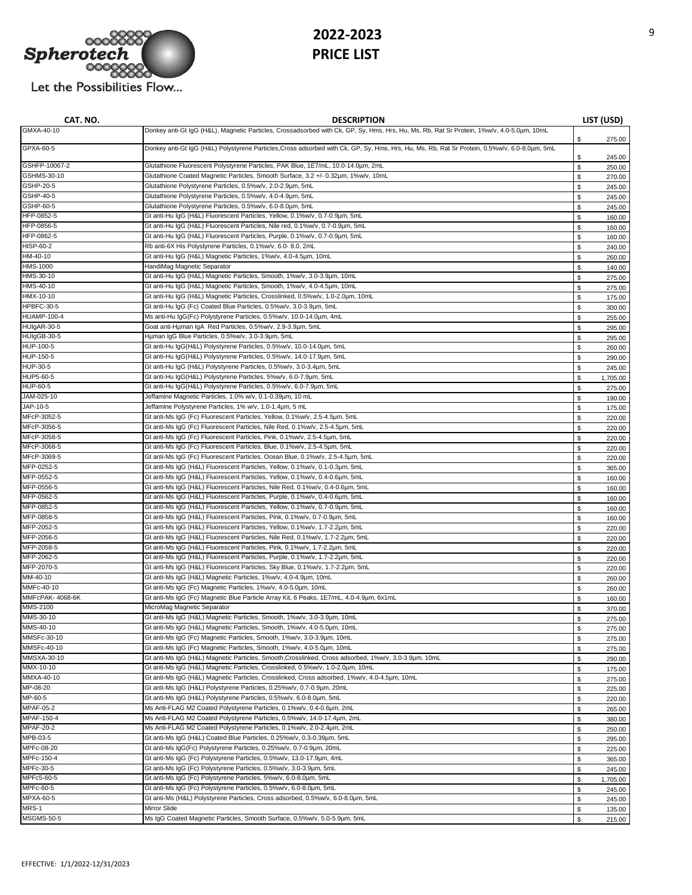

| CAT. NO.                   | <b>DESCRIPTION</b>                                                                                                                                         |                   | LIST (USD)       |
|----------------------------|------------------------------------------------------------------------------------------------------------------------------------------------------------|-------------------|------------------|
| GMXA-40-10                 | Donkey anti-Gt IgG (H&L), Magnetic Particles, Crossadsorbed with Ck, GP, Sy, Hms, Hrs, Hu, Ms, Rb, Rat Sr Protein, 1%w/v, 4.0-5.0um, 10mL                  | \$                | 275.00           |
| GPXA-60-5                  | Donkey anti-Gt IgG (H&L) Polystyrene Particles, Cross adsorbed with Ck, GP, Sy, Hms, Hrs, Hu, Ms, Rb, Rat Sr Protein, 0.5%w/v, 6.0-8.0um, 5mL              | \$                | 245.00           |
| GSHFP-10067-2              | Glutathione Fluorescent Polystyrene Particles, PAK Blue, 1E7/mL, 10.0-14.0um, 2mL                                                                          | $\mathbb S$       | 250.00           |
| GSHMS-30-10                | Glutathione Coated Magnetic Particles, Smooth Surface, 3.2 +/- 0.32um, 1%w/v, 10mL                                                                         | $\mathbb S$       | 270.00           |
| GSHP-20-5                  | Glutathione Polystyrene Particles, 0.5%w/v, 2.0-2.9µm, 5mL                                                                                                 | $\mathbb S$       | 245.00           |
| GSHP-40-5                  | Glutathione Polystyrene Particles, 0.5%w/v, 4.0-4.9µm, 5mL                                                                                                 | \$                | 245.00           |
| GSHP-60-5                  | Glutathione Polystyrene Particles, 0.5%w/v, 6.0-8.0um, 5mL                                                                                                 | \$                | 245.00           |
| HFP-0852-5                 | Gt anti-Hu IgG (H&L) Fluorescent Particles, Yellow, 0.1%w/v, 0.7-0.9µm, 5mL                                                                                | \$                | 160.00           |
| HFP-0856-5<br>HFP-0862-5   | Gt anti-Hu IgG (H&L) Fluorescent Particles, Nile red, 0.1%w/v, 0.7-0.9µm, 5mL                                                                              | $\mathbb S$       | 160.00           |
| HISP-60-2                  | Gt anti-Hu IgG (H&L) Fluorescent Particles, Purple, 0.1%w/v, 0.7-0.9µm, 5mL<br>Rb anti-6X His Polystyrene Particles, 0.1%w/v, 6.0-8.0, 2mL                 | \$<br>\$          | 160.00           |
| HM-40-10                   | Gt anti-Hu IgG (H&L) Magnetic Particles, 1%w/v, 4.0-4.5um, 10mL                                                                                            | $\mathbb S$       | 240.00<br>260.00 |
| HMS-1000                   | HandiMag Magnetic Separator                                                                                                                                | \$                | 140.00           |
| HMS-30-10                  | Gt anti-Hu IqG (H&L) Magnetic Particles, Smooth, 1%w/v, 3.0-3.9um, 10mL                                                                                    | \$                | 275.00           |
| HMS-40-10                  | Gt anti-Hu IgG (H&L) Magnetic Particles, Smooth, 1%w/v, 4.0-4.5um, 10mL                                                                                    | s.                | 275.00           |
| HMX-10-10                  | Gt anti-Hu IgG (H&L) Magnetic Particles, Crosslinked, 0.5%w/v, 1.0-2.0um, 10mL                                                                             | \$                | 175.00           |
| HPBFC-30-5                 | Gt anti-Hu IgG (Fc) Coated Blue Particles, 0.5%w/v, 3.0-3.9µm, 5mL                                                                                         | \$                | 300.00           |
| <b>HUAMP-100-4</b>         | Ms anti-Hu IgG(Fc) Polystyrene Particles, 0.5%w/v, 10.0-14.0um, 4mL                                                                                        | \$                | 255.00           |
| HUIgAR-30-5                | Goat anti-Hµman IgA Red Particles, 0.5%w/v, 2.9-3.9µm, 5mL                                                                                                 | \$                | 295.00           |
| HUIgGB-30-5                | Human IqG Blue Particles, 0.5%w/v, 3.0-3.9um, 5mL                                                                                                          | \$                | 295.00           |
| HUP-100-5                  | Gt anti-Hu IgG(H&L) Polystyrene Particles, 0.5%w/v, 10.0-14.0µm, 5mL                                                                                       | \$                | 260.00           |
| HUP-150-5                  | Gt anti-Hu IgG(H&L) Polystyrene Particles, 0.5%w/v, 14.0-17.9µm, 5mL                                                                                       | \$                | 290.00           |
| HUP-30-5                   | Gt anti-Hu IgG (H&L) Polystyrene Particles, 0.5%w/v, 3.0-3.4um, 5mL                                                                                        | \$                | 245.00           |
| HUP5-60-5                  | Gt anti-Hu IgG(H&L) Polystyrene Particles, 5%w/v, 6.0-7.9µm, 5mL                                                                                           | \$                | 1,705.00         |
| HUP-60-5                   | Gt anti-Hu IgG(H&L) Polystyrene Particles, 0.5%w/v, 6.0-7.9µm, 5mL                                                                                         | \$                | 275.00           |
| JAM-025-10                 | Jeffamine Magnetic Particles, 1.0% w/v, 0.1-0.39um, 10 mL                                                                                                  | \$                | 190.00           |
| JAP-10-5                   | Jeffamine Polystyrene Particles, 1% w/v, 1.0-1.4µm, 5 mL                                                                                                   | \$                | 175.00           |
| MFcP-3052-5                | Gt anti-Ms IgG (Fc) Fluorescent Particles, Yellow, 0.1%w/v, 2.5-4.5um, 5mL                                                                                 | \$                | 220.00           |
| MFcP-3056-5<br>MFcP-3058-5 | Gt anti-Ms IgG (Fc) Fluorescent Particles, Nile Red, 0.1%w/v, 2.5-4.5um, 5mL                                                                               | $\mathbb S$       | 220.00           |
| MFcP-3068-5                | Gt anti-Ms IgG (Fc) Fluorescent Particles, Pink, 0.1%w/v, 2.5-4.5um, 5mL                                                                                   | $\mathbb S$       | 220.00           |
| MFcP-3069-5                | Gt anti-Ms IgG (Fc) Fluorescent Particles, Blue, 0.1%w/v, 2.5-4.5um, 5mL<br>Gt anti-Ms IgG (Fc) Fluorescent Particles, Ocean Blue, 0.1%w/v, 2.5-4.5um, 5mL | \$                | 220.00           |
| MFP-0252-5                 | Gt anti-Ms IgG (H&L) Fluorescent Particles, Yellow, 0.1%w/v, 0.1-0.3um, 5mL                                                                                | $\mathbb S$<br>\$ | 220.00           |
| MFP-0552-5                 | Gt anti-Ms IgG (H&L) Fluorescent Particles, Yellow, 0.1%w/v, 0.4-0.6um, 5mL                                                                                | $\mathbb S$       | 365.00<br>160.00 |
| MFP-0556-5                 | Gt anti-Ms IgG (H&L) Fluorescent Particles, Nile Red, 0.1%w/v, 0.4-0.6um, 5mL                                                                              | \$                | 160.00           |
| MFP-0562-5                 | Gt anti-Ms IgG (H&L) Fluorescent Particles, Purple, 0.1%w/v, 0.4-0.6um, 5mL                                                                                | \$                | 160.00           |
| MFP-0852-5                 | Gt anti-Ms IgG (H&L) Fluorescent Particles, Yellow, 0.1%w/v, 0.7-0.9µm, 5mL                                                                                | \$                | 160.00           |
| MFP-0858-5                 | Gt anti-Ms IgG (H&L) Fluorescent Particles, Pink, 0.1%w/v, 0.7-0.9µm, 5mL                                                                                  | \$                | 160.00           |
| MFP-2052-5                 | Gt anti-Ms IgG (H&L) Fluorescent Particles, Yellow, 0.1%w/v, 1.7-2.2um, 5mL                                                                                | \$                | 220.00           |
| MFP-2056-5                 | Gt anti-Ms IgG (H&L) Fluorescent Particles, Nile Red, 0.1%w/v, 1.7-2.2um, 5mL                                                                              | \$                | 220.00           |
| MFP-2058-5                 | Gt anti-Ms IgG (H&L) Fluorescent Particles, Pink, 0.1%w/v, 1.7-2.2um, 5mL                                                                                  | \$                | 220.00           |
| MFP-2062-5                 | Gt anti-Ms IgG (H&L) Fluorescent Particles, Purple, 0.1%w/v, 1.7-2.2um, 5mL                                                                                | \$                | 220.00           |
| MFP-2070-5                 | Gt anti-Ms IgG (H&L) Fluorescent Particles, Sky Blue, 0.1%w/v, 1.7-2.2um, 5mL                                                                              | \$                | 220.00           |
| MM-40-10                   | Gt anti-Ms IgG (H&L) Magnetic Particles, 1%w/v, 4.0-4.9µm, 10mL                                                                                            | \$                | 260.00           |
| MMFc-40-10                 | Gt anti-Ms IqG (Fc) Magnetic Particles, 1%w/v, 4.0-5.0um, 10mL                                                                                             | \$                | 260.00           |
| MMFcPAK- 4068-6K           | Gt anti-Ms IgG (Fc) Magnetic Blue Particle Array Kit, 6 Peaks, 1E7/mL, 4.0-4.9µm, 6x1mL                                                                    | \$                | 160.00           |
| MMS-2100                   | MicroMag Magnetic Separator                                                                                                                                | $\mathbb S$       | 370.00           |
| MMS-30-10                  | Gt anti-Ms IqG (H&L) Magnetic Particles, Smooth, 1%w/v, 3.0-3.9um, 10mL                                                                                    | \$                | 275.00           |
| MMS-40-10<br>MMSFc-30-10   | Gt anti-Ms IgG (H&L) Magnetic Particles, Smooth, 1%w/v, 4.0-5.0um, 10mL<br>Gt anti-Ms IqG (Fc) Magnetic Particles, Smooth, 1%w/v, 3.0-3.9um, 10mL          | \$                | 275.00           |
| MMSFc-40-10                | Gt anti-Ms IgG (Fc) Magnetic Particles, Smooth, 1%w/v, 4.0-5.0um, 10mL                                                                                     | \$                | 275.00           |
| MMSXA-30-10                | Gt anti-Ms IqG (H&L) Magnetic Particles, Smooth, Crosslinked, Cross adsorbed, 1%w/v, 3.0-3.9µm, 10mL                                                       | \$                | 275.00           |
| MMX-10-10                  | Gt anti-Ms IgG (H&L) Magnetic Particles, Crosslinked, 0.5%w/v, 1.0-2.0um, 10mL                                                                             | \$<br>\$          | 290.00<br>175.00 |
| MMXA-40-10                 | Gt anti-Ms IgG (H&L) Magnetic Particles, Crosslinked, Cross adsorbed, 1%w/v, 4.0-4.5um, 10mL                                                               | $\mathbb S$       | 275.00           |
| MP-08-20                   | Gt anti-Ms IgG (H&L) Polystyrene Particles, 0.25%w/v, 0.7-0.9µm, 20mL                                                                                      | \$                | 225.00           |
| MP-60-5                    | Gt anti-Ms IqG (H&L) Polystyrene Particles, 0.5%w/v, 6.0-8.0um, 5mL                                                                                        | \$                | 220.00           |
| <b>MPAF-05-2</b>           | Ms Anti-FLAG M2 Coated Polystyrene Particles, 0.1%w/v, 0.4-0.6µm, 2mL                                                                                      | \$                | 265.00           |
| MPAF-150-4                 | Ms Anti-FLAG M2 Coated Polystyrene Particles, 0.5%w/v, 14.0-17.4um, 2mL                                                                                    | \$                | 380.00           |
| <b>MPAF-20-2</b>           | Ms Anti-FLAG M2 Coated Polystyrene Particles, 0.1%w/v, 2.0-2.4um, 2mL                                                                                      | \$                | 250.00           |
| MPB-03-5                   | Gt anti-Ms IqG (H&L) Coated Blue Particles, 0.25%w/v, 0.3-0.39µm, 5mL                                                                                      | $\mathbb S$       | 295.00           |
| MPFc-08-20                 | Gt anti-Ms IgG(Fc) Polystyrene Particles, 0.25%w/v, 0.7-0.9µm, 20mL                                                                                        | \$                | 225.00           |
| MPFc-150-4                 | Gt anti-Ms IgG (Fc) Polystyrene Particles, 0.5%w/v, 13.0-17.9µm, 4mL                                                                                       | \$                | 365.00           |
| MPFc-30-5                  | Gt anti-Ms IgG (Fc) Polystyrene Particles, 0.5%w/v, 3.0-3.9µm, 5mL                                                                                         | \$                | 245.00           |
| MPFc5-60-5                 | Gt anti-Ms IgG (Fc) Polystyrene Particles, 5%w/v, 6.0-8.0um, 5mL                                                                                           | \$                | 1,705.00         |
| MPFc-60-5                  | Gt anti-Ms IgG (Fc) Polystyrene Particles, 0.5%w/v, 6.0-8.0µm, 5mL                                                                                         | \$                | 245.00           |
| MPXA-60-5                  | Gt anti-Ms (H&L) Polystyrene Particles, Cross adsorbed, 0.5%w/v, 6.0-8.0µm, 5mL                                                                            | \$                | 245.00           |
| MRS-1                      | Mirror Slide                                                                                                                                               | \$                | 135.00           |
| MSGMS-50-5                 | Ms IgG Coated Magnetic Particles, Smooth Surface, 0.5%w/v, 5.0-5.9µm, 5mL                                                                                  | \$                | 215.00           |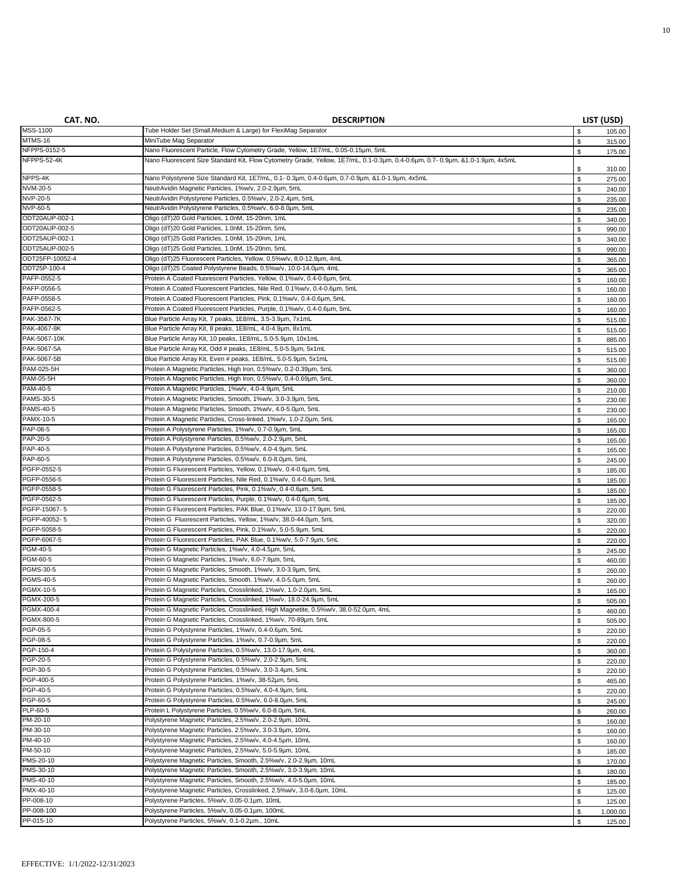| CAT. NO.                        | <b>DESCRIPTION</b>                                                                                                           |             | LIST (USD)         |
|---------------------------------|------------------------------------------------------------------------------------------------------------------------------|-------------|--------------------|
| <b>MSS-1100</b>                 | Tube Holder Set (Small, Medium & Large) for FlexiMag Separator                                                               | \$          | 105.00             |
| MTMS-16                         | MiniTube Mag Separator                                                                                                       | \$          | 315.00             |
| NFPPS-0152-5                    | Nano Fluorescent Particle, Flow Cytometry Grade, Yellow, 1E7/mL, 0.05-0.15um, 5mL                                            | \$          | 175.00             |
| NFPPS-52-4K                     | Nano Fluorescent Size Standard Kit, Flow Cytometry Grade, Yellow, 1E7/mL, 0.1-0.3um, 0.4-0.6um, 0.7-0.9um, &1.0-1.9um, 4x5mL |             |                    |
|                                 |                                                                                                                              | \$          | 310.00             |
| NPPS-4K                         | Nano Polystyrene Size Standard Kit, 1E7/mL, 0.1- 0.3um, 0.4-0.6um, 0.7-0.9um, &1.0-1.9um, 4x5mL                              | \$          | 275.00             |
| NVM-20-5                        | NeutrAvidin Magnetic Particles, 1%w/v, 2.0-2.9um, 5mL                                                                        | \$          | 240.00             |
| NVP-20-5                        | NeutrAvidin Polystyrene Particles, 0.5%w/v, 2.0-2.4um, 5mL                                                                   | \$          | 235.00             |
| NVP-60-5                        | NeutrAvidin Polystyrene Particles, 0.5%w/v, 6.0-8.0um, 5mL                                                                   | \$          | 235.00             |
| ODT20AUP-002-1                  | Oligo (dT)20 Gold Particles, 1.0nM, 15-20nm, 1mL                                                                             | \$          | 340.00             |
| ODT20AUP-002-5                  | Oligo (dT)20 Gold Particles, 1.0nM, 15-20nm, 5mL                                                                             | \$          | 990.00             |
| ODT25AUP-002-1                  | Oligo (dT)25 Gold Particles, 1.0nM, 15-20nm, 1mL                                                                             | \$          | 340.00             |
| ODT25AUP-002-5                  | Oligo (dT)25 Gold Particles, 1.0nM, 15-20nm, 5mL                                                                             | \$          | 990.00             |
| ODT25FP-10052-4                 | Oligo (dT)25 Fluorescent Particles, Yellow, 0.5%w/v, 8.0-12.9µm, 4mL                                                         | \$          | 365.00             |
| ODT25P-100-4                    | Oligo (dT)25 Coated Polystyrene Beads, 0.5%w/v, 10.0-14.0um, 4mL                                                             | \$          | 365.00             |
| PAFP-0552-5                     | Protein A Coated Fluorescent Particles, Yellow, 0.1%w/v, 0.4-0.6um, 5mL                                                      | \$          | 160.00             |
| PAFP-0556-5                     | Protein A Coated Fluorescent Particles, Nile Red, 0.1%w/v, 0.4-0.6um, 5mL                                                    | \$          | 160.00             |
| PAFP-0558-5                     | Protein A Coated Fluorescent Particles, Pink, 0.1%w/v, 0.4-0.6um, 5mL                                                        | \$          | 160.00             |
| PAFP-0562-5                     | Protein A Coated Fluorescent Particles, Purple, 0.1%w/v, 0.4-0.6um, 5mL                                                      | \$          | 160.00             |
| PAK-3567-7K                     | Blue Particle Array Kit, 7 peaks, 1E8/mL, 3.5-3.9um, 7x1mL                                                                   | \$          | 515.00             |
| PAK-4067-8K                     | Blue Particle Array Kit, 8 peaks, 1E8/mL, 4.0-4.9µm, 8x1mL                                                                   | \$          | 515.00             |
| PAK-5067-10K                    | Blue Particle Array Kit, 10 peaks, 1E8/mL, 5.0-5.9µm, 10x1mL                                                                 | \$          | 885.00             |
| PAK-5067-5A                     | Blue Particle Array Kit, Odd # peaks, 1E8/mL, 5.0-5.9um, 5x1mL                                                               | \$          | 515.00             |
| PAK-5067-5B                     | Blue Particle Array Kit, Even # peaks, 1E8/mL, 5.0-5.9µm, 5x1mL                                                              | \$          | 515.00             |
| PAM-025-5H                      | Protein A Magnetic Particles, High Iron, 0.5%w/v, 0.2-0.39µm, 5mL                                                            | \$          | 360.00             |
| <b>PAM-05-5H</b>                | Protein A Magnetic Particles, High Iron, 0.5%w/v, 0.4-0.69µm, 5mL                                                            | \$          | 360.00             |
| PAM-40-5                        | Protein A Magnetic Particles, 1%w/v, 4.0-4.9µm, 5mL                                                                          | \$          | 210.00             |
| <b>PAMS-30-5</b>                | Protein A Magnetic Particles, Smooth, 1%w/v, 3.0-3.9µm, 5mL                                                                  | \$          | 230.00             |
| <b>PAMS-40-5</b>                | Protein A Magnetic Particles, Smooth, 1%w/v, 4.0-5.0um, 5mL                                                                  | \$          | 230.00             |
| PAMX-10-5                       | Protein A Magnetic Particles, Cross-linked, 1%w/v, 1.0-2.0um, 5mL                                                            | \$          | 165.00             |
| PAP-08-5                        | Protein A Polystyrene Particles, 1%w/v, 0.7-0.9um, 5mL                                                                       | \$          | 165.00             |
| PAP-20-5                        | Protein A Polystyrene Particles, 0.5%w/v, 2.0-2.9µm, 5mL                                                                     | \$          | 165.00             |
| PAP-40-5                        | Protein A Polystyrene Particles, 0.5%w/v, 4.0-4.9µm, 5mL                                                                     | \$          | 165.00             |
| PAP-60-5                        | Protein A Polystyrene Particles, 0.5%w/v, 6.0-8.0um, 5mL                                                                     | \$          | 245.00             |
| PGFP-0552-5                     | Protein G Fluorescent Particles, Yellow, 0.1%w/v, 0.4-0.6um, 5mL                                                             | $\mathbb S$ | 185.00             |
| PGFP-0556-5                     | Protein G Fluorescent Particles, Nile Red, 0.1%w/v, 0.4-0.6um, 5mL                                                           | \$          | 185.00             |
| PGFP-0558-5                     | Protein G Fluorescent Particles, Pink, 0.1%w/v, 0.4-0.6um, 5mL                                                               | \$          | 185.00             |
| PGFP-0562-5                     | Protein G Fluorescent Particles, Purple, 0.1%w/v, 0.4-0.6um, 5mL                                                             | \$          | 185.00             |
| PGFP-15067-5                    | Protein G Fluorescent Particles, PAK Blue, 0.1%w/v, 13.0-17.9um, 5mL                                                         | \$          | 220.00             |
| PGFP-40052-5                    | Protein G Fluorescent Particles, Yellow, 1%w/v, 38.0-44.0um, 5mL                                                             | \$          | 320.00             |
| PGFP-5058-5                     | Protein G Fluorescent Particles, Pink, 0.1%w/v, 5.0-5.9µm, 5mL                                                               | \$          | 220.00             |
| PGFP-6067-5                     | Protein G Fluorescent Particles, PAK Blue, 0.1%w/v, 5.0-7.9um, 5mL                                                           | \$          | 220.00             |
| <b>PGM-40-5</b>                 | Protein G Magnetic Particles, 1%w/v, 4.0-4.5um, 5mL                                                                          | \$          | 245.00             |
| PGM-60-5                        | Protein G Magnetic Particles, 1%w/v, 6.0-7.9µm, 5mL                                                                          | \$          | 460.00             |
| PGMS-30-5                       | Protein G Magnetic Particles, Smooth, 1%w/v, 3.0-3.9µm, 5mL                                                                  | \$          | 260.00             |
| PGMS-40-5                       | Protein G Magnetic Particles, Smooth, 1%w/v, 4.0-5.0um, 5mL                                                                  | \$          | 260.00             |
| PGMX-10-5                       | Protein G Magnetic Particles, Crosslinked, 1%w/v, 1.0-2.0um, 5mL                                                             | \$          | 165.00             |
| PGMX-200-5<br><b>PGMX-400-4</b> | Protein G Magnetic Particles, Crosslinked, 1%w/v, 18.0-24.9µm, 5mL                                                           | \$          | 505.00             |
|                                 | Protein G Magnetic Particles, Crosslinked, High Magnetite, 0.5%w/v, 38.0-52.0um, 4mL                                         | \$          | 460.00             |
| <b>PGMX-800-5</b><br>PGP-05-5   | Protein G Magnetic Particles, Crosslinked, 1%w/v, 70-89µm, 5mL<br>Protein G Polystyrene Particles, 1%w/v, 0.4-0.6um, 5mL     | \$.         | 505.00             |
| <b>PGP-08-5</b>                 | Protein G Polystyrene Particles, 1%w/v, 0.7-0.9um, 5mL                                                                       | \$          | 220.00             |
| PGP-150-4                       | Protein G Polystyrene Particles, 0.5%w/v, 13.0-17.9µm, 4mL                                                                   | \$          | 220.00             |
| PGP-20-5                        | Protein G Polystyrene Particles, 0.5%w/v, 2.0-2.9µm, 5mL                                                                     | \$          | 360.00             |
| PGP-30-5                        | Protein G Polystyrene Particles, 0.5%w/v, 3.0-3.4um, 5mL                                                                     | \$          | 220.00             |
| PGP-400-5                       | Protein G Polystyrene Particles, 1%w/v, 38-52um, 5mL                                                                         | \$          | 220.00             |
| PGP-40-5                        | Protein G Polystyrene Particles, 0.5%w/v, 4.0-4.9µm, 5mL                                                                     | \$          | 465.00             |
| PGP-60-5                        | Protein G Polystyrene Particles, 0.5%w/v, 6.0-8.0µm, 5mL                                                                     | \$          | 220.00             |
| PLP-60-5                        | Protein L Polystyrene Particles, 0.5%w/v, 6.0-8.0um, 5mL                                                                     | \$          | 245.00             |
| PM-20-10                        | Polystyrene Magnetic Particles, 2.5%w/v, 2.0-2.9µm, 10mL                                                                     | \$<br>\$    | 260.00             |
| PM-30-10                        | Polystyrene Magnetic Particles, 2.5%w/v, 3.0-3.9µm, 10mL                                                                     |             | 160.00             |
| PM-40-10                        | Polystyrene Magnetic Particles, 2.5%w/v, 4.0-4.5µm, 10mL                                                                     | \$<br>\$    | 160.00             |
| PM-50-10                        | Polystyrene Magnetic Particles, 2.5%w/v, 5.0-5.9µm, 10mL                                                                     |             | 160.00             |
| PMS-20-10                       | Polystyrene Magnetic Particles, Smooth, 2.5%w/v, 2.0-2.9µm, 10mL                                                             | \$          | 185.00             |
| PMS-30-10                       | Polystyrene Magnetic Particles, Smooth, 2.5%w/v, 3.0-3.9µm, 10mL                                                             | \$          | 170.00             |
| PMS-40-10                       | Polystyrene Magnetic Particles, Smooth, 2.5%w/v, 4.0-5.0um, 10mL                                                             | \$          | 180.00             |
| <b>PMX-40-10</b>                | Polystyrene Magnetic Particles, Crosslinked, 2.5%w/v, 3.0-6.0µm, 10mL                                                        | \$          | 185.00             |
| PP-008-10                       | Polystyrene Particles, 5%w/v, 0.05-0.1um, 10mL                                                                               | \$          | 125.00             |
| PP-008-100                      | Polystyrene Particles, 5%w/v, 0.05-0.1um, 100mL                                                                              | \$<br>\$    | 125.00<br>1,000.00 |
| PP-015-10                       | Polystyrene Particles, 5%w/v, 0.1-0.2µm., 10mL                                                                               | \$          | 125.00             |
|                                 |                                                                                                                              |             |                    |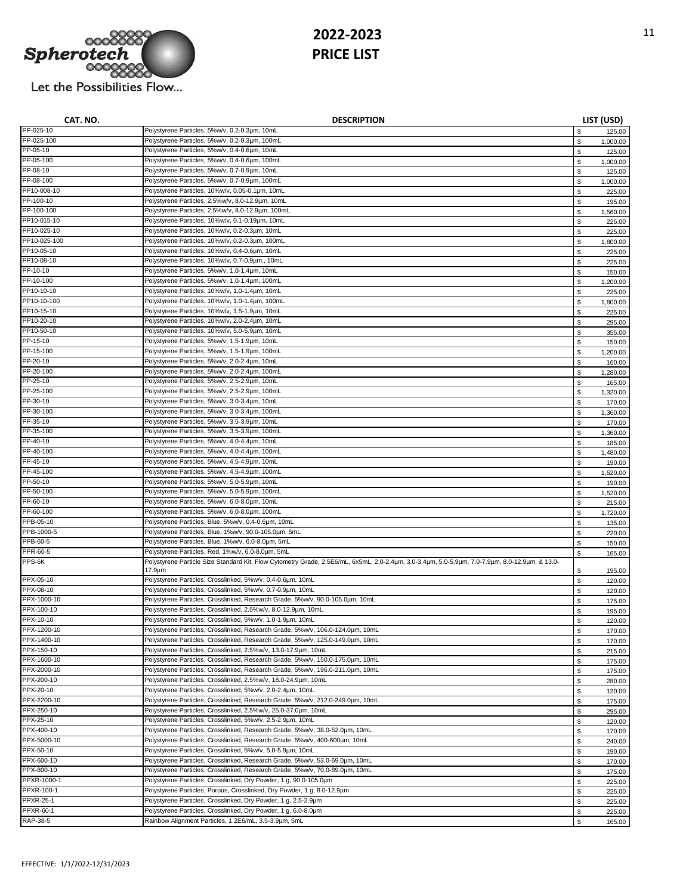

| CAT. NO.                    | <b>DESCRIPTION</b>                                                                                                                               |          | LIST (USD)         |
|-----------------------------|--------------------------------------------------------------------------------------------------------------------------------------------------|----------|--------------------|
| PP-025-10                   | Polystyrene Particles, 5%w/v, 0.2-0.3µm, 10mL                                                                                                    | \$       | 125.00             |
| PP-025-100                  | Polystyrene Particles, 5%w/v, 0.2-0.3µm, 100mL                                                                                                   | \$       | 1,000.00           |
| PP-05-10                    | Polystyrene Particles, 5%w/v, 0.4-0.6um, 10mL                                                                                                    | \$       | 125.00             |
| PP-05-100                   | Polystyrene Particles, 5%w/v, 0.4-0.6µm, 100mL                                                                                                   | \$       | 1,000.00           |
| PP-08-10                    | Polystyrene Particles, 5%w/v, 0.7-0.9µm, 10mL                                                                                                    | \$       | 125.00             |
| PP-08-100                   | Polystyrene Particles, 5%w/v, 0.7-0.9um, 100mL                                                                                                   | \$       | 1,000.00           |
| PP10-008-10                 | Polystyrene Particles, 10%w/v, 0.05-0.1µm, 10mL                                                                                                  | \$       | 225.00             |
| PP-100-10                   | Polystyrene Particles, 2.5%w/v, 8.0-12.9µm, 10mL                                                                                                 | \$       | 195.00             |
| PP-100-100                  | Polystyrene Particles, 2.5%w/v, 8.0-12.9µm, 100mL                                                                                                | \$       | 1,560.00           |
| PP10-015-10                 | Polystyrene Particles, 10%w/v, 0.1-0.19µm, 10mL                                                                                                  | \$       | 225.00             |
| PP10-025-10<br>PP10-025-100 | Polystyrene Particles, 10%w/v, 0.2-0.3um, 10mL                                                                                                   | \$       | 225.00             |
| PP10-05-10                  | Polystyrene Particles, 10%w/v, 0.2-0.3um, 100mL<br>Polystyrene Particles, 10%w/v, 0.4-0.6um, 10mL                                                | \$       | 1,800.00           |
| PP10-08-10                  | Polystyrene Particles, 10%w/v, 0.7-0.9µm., 10mL                                                                                                  | \$       | 225.00             |
| PP-10-10                    | Polystyrene Particles, 5%w/v, 1.0-1.4um, 10mL                                                                                                    | \$       | 225.00             |
| PP-10-100                   | Polystyrene Particles, 5%w/v, 1.0-1.4um, 100mL                                                                                                   | \$<br>\$ | 150.00<br>1,200.00 |
| PP10-10-10                  | Polystyrene Particles, 10%w/v, 1.0-1.4um, 10mL                                                                                                   | \$       | 225.00             |
| PP10-10-100                 | Polystyrene Particles, 10%w/v, 1.0-1.4um, 100mL                                                                                                  | \$       | 1,800.00           |
| PP10-15-10                  | Polystyrene Particles, 10%w/v, 1.5-1.9um, 10mL                                                                                                   | \$       | 225.00             |
| PP10-20-10                  | Polystyrene Particles, 10%w/v, 2.0-2.4µm, 10mL                                                                                                   | \$       | 295.00             |
| PP10-50-10                  | Polystyrene Particles, 10%w/v, 5.0-5.9µm, 10mL                                                                                                   | \$       | 355.00             |
| PP-15-10                    | Polystyrene Particles, 5%w/v, 1.5-1.9um, 10mL                                                                                                    | \$       | 150.00             |
| PP-15-100                   | Polystyrene Particles, 5%w/v, 1.5-1.9µm, 100mL                                                                                                   | \$       | 1,200.00           |
| PP-20-10                    | Polystyrene Particles, 5%w/v, 2.0-2.4µm, 10mL                                                                                                    | \$       | 160.00             |
| PP-20-100                   | Polystyrene Particles, 5%w/v, 2.0-2.4um, 100mL                                                                                                   | \$       | 1,280.00           |
| PP-25-10                    | Polystyrene Particles, 5%w/v, 2.5-2.9µm, 10mL                                                                                                    | \$       | 165.00             |
| PP-25-100                   | Polystyrene Particles, 5%w/v, 2.5-2.9µm, 100mL                                                                                                   | \$       | 1,320.00           |
| PP-30-10                    | Polystyrene Particles, 5%w/v, 3.0-3.4um, 10mL                                                                                                    | \$       | 170.00             |
| PP-30-100                   | Polystyrene Particles, 5%w/v, 3.0-3.4um, 100mL                                                                                                   | \$       | 1,360.00           |
| PP-35-10                    | Polystyrene Particles, 5%w/v, 3.5-3.9µm, 10mL                                                                                                    | \$       | 170.00             |
| PP-35-100                   | Polystyrene Particles, 5%w/v, 3.5-3.9µm, 100mL                                                                                                   | \$       | 1,360.00           |
| PP-40-10                    | Polystyrene Particles, 5%w/v, 4.0-4.4µm, 10mL                                                                                                    | \$       | 185.00             |
| PP-40-100                   | Polystyrene Particles, 5%w/v, 4.0-4.4um, 100mL                                                                                                   | \$       | 1,480.00           |
| PP-45-10                    | Polystyrene Particles, 5%w/v, 4.5-4.9µm, 10mL                                                                                                    | \$       | 190.00             |
| PP-45-100                   | Polystyrene Particles, 5%w/v, 4.5-4.9µm, 100mL                                                                                                   | \$       | 1,520.00           |
| PP-50-10                    | Polystyrene Particles, 5%w/v, 5.0-5.9µm, 10mL                                                                                                    | \$       | 190.00             |
| PP-50-100<br>PP-60-10       | Polystyrene Particles, 5%w/v, 5.0-5.9µm, 100mL<br>Polystyrene Particles, 5%w/v, 6.0-8.0µm, 10mL                                                  | \$       | 1,520.00           |
| PP-60-100                   | Polystyrene Particles, 5%w/v, 6.0-8.0um, 100mL                                                                                                   | \$       | 215.00             |
| PPB-05-10                   | Polystyrene Particles, Blue, 5%w/v, 0.4-0.6um, 10mL                                                                                              | \$       | 1,720.00           |
| PPB-1000-5                  | Polystyrene Particles, Blue, 1%w/v, 90.0-105.0um, 5mL                                                                                            | \$<br>\$ | 135.00<br>220.00   |
| PPB-60-5                    | Polystyrene Particles, Blue, 1%w/v, 6.0-8.0um, 5mL                                                                                               | \$       | 150.00             |
| PPR-60-5                    | Polystyrene Particles, Red, 1%w/v, 6.0-8.0um, 5mL                                                                                                | \$       | 165.00             |
| PPS-6K                      | Polystyrene Particle Size Standard Kit, Flow Cytometry Grade, 2.5E6/mL, 6x5mL, 2.0-2.4um, 3.0-3.4um, 5.0-5.9um, 7.0-7.9um, 8.0-12.9um, & 13.0-   |          |                    |
|                             | 17.9µm                                                                                                                                           | \$       | 195.00             |
| PPX-05-10                   | Polystyrene Particles, Crosslinked, 5%w/v, 0.4-0.6um, 10mL                                                                                       | \$       | 120.00             |
| PPX-08-10                   | Polystyrene Particles, Crosslinked, 5%w/v, 0.7-0.9µm, 10mL                                                                                       | \$       | 120.00             |
| PPX-1000-10                 | Polystyrene Particles, Crosslinked, Research Grade, 5%w/v, 90.0-105.0um, 10mL                                                                    | \$       | 175.00             |
| PPX-100-10                  | Polystyrene Particles, Crosslinked, 2.5%w/v, 8.0-12.9um, 10mL                                                                                    | \$       | 195.00             |
| PPX-10-10                   | Polystyrene Particles, Crosslinked, 5%w/v, 1.0-1.9um, 10mL                                                                                       | \$.      | 120.00             |
| PPX-1200-10                 | Polystyrene Particles, Crosslinked, Research Grade, 5%w/v, 106.0-124.0um, 10mL                                                                   | \$       | 170.00             |
| PPX-1400-10                 | Polystyrene Particles, Crosslinked, Research Grade, 5%w/v, 125.0-149.0um, 10mL                                                                   | \$       | 170.00             |
| PPX-150-10                  | Polystyrene Particles, Crosslinked, 2.5%w/v, 13.0-17.9µm, 10mL                                                                                   | \$       | 215.00             |
| PPX-1600-10                 | Polystyrene Particles, Crosslinked, Research Grade, 5%w/v, 150.0-175.0um, 10mL                                                                   | \$       | 175.00             |
| PPX-2000-10                 | Polystyrene Particles, Crosslinked, Research Grade, 5%w/v, 196.0-211.0um, 10mL                                                                   | \$       | 175.00             |
| PPX-200-10                  | Polystyrene Particles, Crosslinked, 2.5%w/v, 18.0-24.9µm, 10mL<br>Polystyrene Particles, Crosslinked, 5%w/v, 2.0-2.4um, 10mL                     | \$       | 280.00             |
| PPX-20-10                   |                                                                                                                                                  | \$       | 120.00             |
| PPX-2200-10<br>PPX-250-10   | Polystyrene Particles, Crosslinked, Research Grade, 5%w/v, 212.0-249.0um, 10mL<br>Polystyrene Particles, Crosslinked, 2.5%w/v, 25.0-37.0um, 10mL | \$       | 175.00             |
| PPX-25-10                   | Polystyrene Particles, Crosslinked, 5%w/v, 2.5-2.9µm, 10mL                                                                                       | \$       | 295.00             |
| PPX-400-10                  | Polystyrene Particles, Crosslinked, Research Grade, 5%w/v, 38.0-52.0um, 10mL                                                                     | \$<br>\$ | 120.00<br>170.00   |
| PPX-5000-10                 | Polystyrene Particles, Crosslinked, Research Grade, 5%w/v, 400-600um, 10mL                                                                       | \$       | 240.00             |
| PPX-50-10                   | Polystyrene Particles, Crosslinked, 5%w/v, 5.0-5.9µm, 10mL                                                                                       | \$       | 190.00             |
| PPX-600-10                  | Polystyrene Particles, Crosslinked, Research Grade, 5%w/v, 53.0-69.0um, 10mL                                                                     | \$       | 170.00             |
| PPX-800-10                  | Polystyrene Particles, Crosslinked, Research Grade, 5%w/v, 70.0-89.0um, 10mL                                                                     | \$       | 175.00             |
| PPXR-1000-1                 | Polystyrene Particles, Crosslinked, Dry Powder, 1 g, 90.0-105.0um                                                                                | \$       | 225.00             |
| PPXR-100-1                  | Polystyrene Particles, Porous, Crosslinked, Dry Powder, 1 g, 8.0-12.9um                                                                          | \$       | 225.00             |
| PPXR-25-1                   | Polystyrene Particles, Crosslinked, Dry Powder, 1 g, 2.5-2.9µm                                                                                   | \$       | 225.00             |
| PPXR-60-1                   | Polystyrene Particles, Crosslinked, Dry Powder, 1 g, 6.0-8.0um                                                                                   | \$       | 225.00             |
| RAP-38-5                    | Rainbow Alignment Particles, 1.2E6/mL, 3.5-3.9µm, 5mL                                                                                            | \$       | 165.00             |
|                             |                                                                                                                                                  |          |                    |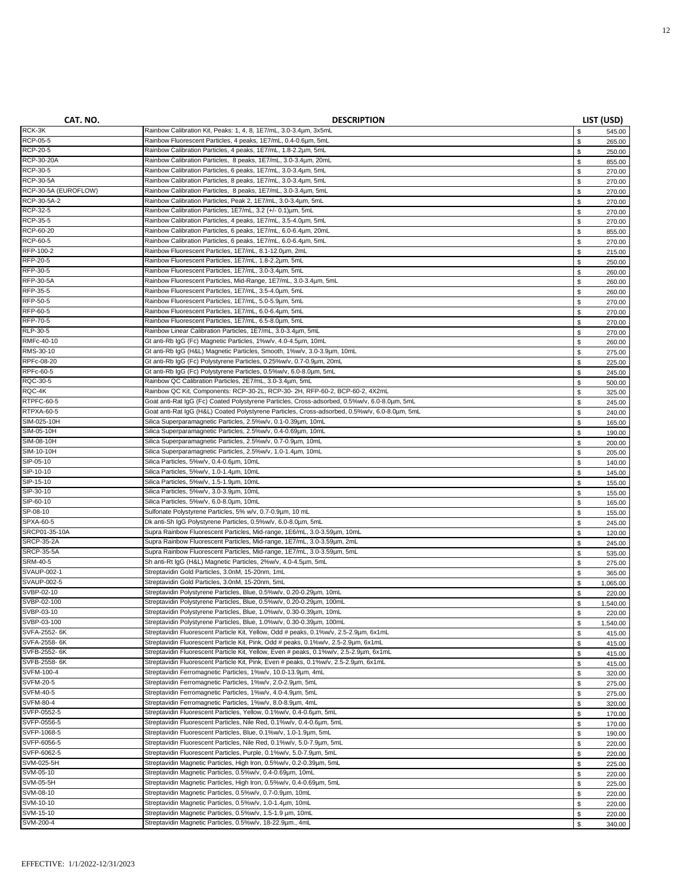| CAT. NO.                   | <b>DESCRIPTION</b>                                                                                                                                  |             | LIST (USD)       |
|----------------------------|-----------------------------------------------------------------------------------------------------------------------------------------------------|-------------|------------------|
| RCK-3K                     | Rainbow Calibration Kit, Peaks: 1, 4, 8, 1E7/mL, 3.0-3.4um, 3x5mL                                                                                   | \$          | 545.00           |
| <b>RCP-05-5</b>            | Rainbow Fluorescent Particles, 4 peaks, 1E7/mL, 0.4-0.6um, 5mL                                                                                      | \$          | 265.00           |
| <b>RCP-20-5</b>            | Rainbow Calibration Particles, 4 peaks, 1E7/mL, 1.8-2.2um, 5mL                                                                                      | \$          | 250.00           |
| RCP-30-20A                 | Rainbow Calibration Particles, 8 peaks, 1E7/mL, 3.0-3.4um, 20mL                                                                                     | \$          | 855.00           |
| RCP-30-5                   | Rainbow Calibration Particles, 6 peaks, 1E7/mL, 3.0-3.4um, 5mL                                                                                      | \$          | 270.00           |
| <b>RCP-30-5A</b>           | Rainbow Calibration Particles, 8 peaks, 1E7/mL, 3.0-3.4um, 5mL                                                                                      | $\mathbb S$ | 270.00           |
| RCP-30-5A (EUROFLOW)       | Rainbow Calibration Particles, 8 peaks, 1E7/mL, 3.0-3.4um, 5mL                                                                                      | \$          | 270.00           |
| RCP-30-5A-2<br>RCP-32-5    | Rainbow Calibration Particles, Peak 2, 1E7/mL, 3.0-3.4um, 5mL<br>Rainbow Calibration Particles, 1E7/mL, 3.2 (+/- 0.1)um, 5mL                        | \$          | 270.00           |
| RCP-35-5                   | Rainbow Calibration Particles, 4 peaks, 1E7/mL, 3.5-4.0um, 5mL                                                                                      | \$<br>\$    | 270.00           |
| RCP-60-20                  | Rainbow Calibration Particles, 6 peaks, 1E7/mL, 6.0-6.4um, 20mL                                                                                     | \$          | 270.00<br>855.00 |
| <b>RCP-60-5</b>            | Rainbow Calibration Particles, 6 peaks, 1E7/mL, 6.0-6.4um, 5mL                                                                                      | \$          | 270.00           |
| RFP-100-2                  | Rainbow Fluorescent Particles, 1E7/mL, 8.1-12.0um, 2mL                                                                                              | \$          | 215.00           |
| RFP-20-5                   | Rainbow Fluorescent Particles, 1E7/mL, 1.8-2.2um, 5mL                                                                                               | \$          | 250.00           |
| RFP-30-5                   | Rainbow Fluorescent Particles, 1E7/mL, 3.0-3.4um, 5mL                                                                                               | \$          | 260.00           |
| RFP-30-5A                  | Rainbow Fluorescent Particles, Mid-Range, 1E7/mL, 3.0-3.4um, 5mL                                                                                    | \$          | 260.00           |
| RFP-35-5                   | Rainbow Fluorescent Particles, 1E7/mL, 3.5-4.0um, 5mL                                                                                               | \$          | 260.00           |
| RFP-50-5                   | Rainbow Fluorescent Particles, 1E7/mL, 5.0-5.9um, 5mL                                                                                               | \$          | 270.00           |
| RFP-60-5                   | Rainbow Fluorescent Particles, 1E7/mL, 6.0-6.4um, 5mL                                                                                               | \$          | 270.00           |
| RFP-70-5                   | Rainbow Fluorescent Particles, 1E7/mL, 6.5-8.0um, 5mL                                                                                               | \$          | 270.00           |
| RLP-30-5                   | Rainbow Linear Calibration Particles, 1E7/mL, 3.0-3.4um, 5mL                                                                                        | \$          | 270.00           |
| RMFc-40-10                 | Gt anti-Rb IqG (Fc) Magnetic Particles, 1%w/v, 4.0-4.5um, 10mL                                                                                      | \$          | 260.00           |
| RMS-30-10                  | Gt anti-Rb IqG (H&L) Magnetic Particles, Smooth, 1%w/v, 3.0-3.9um, 10mL                                                                             | \$          | 275.00           |
| RPFc-08-20<br>RPFc-60-5    | Gt anti-Rb IqG (Fc) Polystyrene Particles, 0.25%w/v, 0.7-0.9um, 20mL                                                                                | \$          | 225.00           |
| RQC-30-5                   | Gt anti-Rb IgG (Fc) Polystyrene Particles, 0.5%w/v, 6.0-8.0µm, 5mL<br>Rainbow QC Calibration Particles, 2E7/mL, 3.0-3.4um, 5mL                      | \$          | 245.00           |
| RQC-4K                     | Rainbow QC Kit, Components: RCP-30-2L, RCP-30-2H, RFP-60-2, BCP-60-2, 4X2mL                                                                         | \$          | 500.00           |
| RTPFC-60-5                 | Goat anti-Rat IgG (Fc) Coated Polystyrene Particles, Cross-adsorbed, 0.5%w/v, 6.0-8.0um, 5mL                                                        | \$<br>\$    | 325.00<br>245.00 |
| RTPXA-60-5                 | Goat anti-Rat IgG (H&L) Coated Polystyrene Particles, Cross-adsorbed, 0.5%w/v, 6.0-8.0um, 5mL                                                       | $\mathbb S$ | 240.00           |
| SIM-025-10H                | Silica Superparamagnetic Particles, 2.5%w/v, 0.1-0.39um, 10mL                                                                                       | \$          | 165.00           |
| SIM-05-10H                 | Silica Superparamagnetic Particles, 2.5%w/v, 0.4-0.69µm, 10mL                                                                                       | $\mathbb S$ | 190.00           |
| SIM-08-10H                 | Silica Superparamagnetic Particles, 2.5%w/v, 0.7-0.9µm, 10mL                                                                                        | \$          | 200.00           |
| SIM-10-10H                 | Silica Superparamagnetic Particles, 2.5%w/v, 1.0-1.4um, 10mL                                                                                        | \$          | 205.00           |
| SIP-05-10                  | Silica Particles, 5%w/v, 0.4-0.6µm, 10mL                                                                                                            | \$          | 140.00           |
| SIP-10-10                  | Silica Particles, 5%w/v, 1.0-1.4um, 10mL                                                                                                            | \$          | 145.00           |
| SIP-15-10                  | Silica Particles, 5%w/v, 1.5-1.9µm, 10mL                                                                                                            | \$          | 155.00           |
| SIP-30-10                  | Silica Particles, 5%w/v, 3.0-3.9um, 10mL                                                                                                            | \$          | 155.00           |
| SIP-60-10                  | Silica Particles, 5%w/v, 6.0-8.0µm, 10mL                                                                                                            | \$          | 165.00           |
| SP-08-10                   | Sulfonate Polystyrene Particles, 5% w/v, 0.7-0.9µm, 10 mL                                                                                           | \$          | 155.00           |
| SPXA-60-5<br>SRCP01-35-10A | Dk anti-Sh IgG Polystyrene Particles, 0.5%w/v, 6.0-8.0um, 5mL                                                                                       | \$          | 245.00           |
| <b>SRCP-35-2A</b>          | Supra Rainbow Fluorescent Particles, Mid-range, 1E6/mL, 3.0-3.59um, 10mL<br>Supra Rainbow Fluorescent Particles, Mid-range, 1E7/mL, 3.0-3.59um, 2mL | \$          | 120.00           |
| <b>SRCP-35-5A</b>          | Supra Rainbow Fluorescent Particles, Mid-range, 1E7/mL, 3.0-3.59um, 5mL                                                                             | \$<br>\$    | 245.00           |
| SRM-40-5                   | Sh anti-Rt IgG (H&L) Magnetic Particles, 2%w/v, 4.0-4.5µm, 5mL                                                                                      | \$          | 535.00<br>275.00 |
| <b>SVAUP-002-1</b>         | Streptavidin Gold Particles, 3.0nM, 15-20nm, 1mL                                                                                                    | \$          | 365.00           |
| SVAUP-002-5                | Streptavidin Gold Particles, 3.0nM, 15-20nm, 5mL                                                                                                    | \$          | 1,065.00         |
| SVBP-02-10                 | Streptavidin Polystyrene Particles, Blue, 0.5%w/v, 0.20-0.29µm, 10mL                                                                                | \$          | 220.00           |
| SVBP-02-100                | Streptavidin Polystyrene Particles, Blue, 0.5%w/v, 0.20-0.29µm, 100mL                                                                               | \$          | 1,540.00         |
| SVBP-03-10                 | Streptavidin Polystyrene Particles, Blue, 1.0%w/v, 0.30-0.39µm, 10mL                                                                                | \$          | 220.00           |
| SVBP-03-100                | Streptavidin Polystyrene Particles, Blue, 1.0%w/v, 0.30-0.39µm, 100mL                                                                               | \$          | 1,540.00         |
| SVFA-2552-6K               | Streptavidin Fluorescent Particle Kit, Yellow, Odd # peaks, 0.1%w/v, 2.5-2.9um, 6x1mL                                                               | \$          | 415.00           |
| SVFA-2558-6K               | Streptavidin Fluorescent Particle Kit, Pink, Odd # peaks, 0.1%w/v, 2.5-2.9um, 6x1mL                                                                 | \$          | 415.00           |
| SVFB-2552-6K               | Streptavidin Fluorescent Particle Kit, Yellow, Even # peaks, 0.1%w/v, 2.5-2.9µm, 6x1mL                                                              | \$          | 415.00           |
| SVFB-2558-6K               | Streptavidin Fluorescent Particle Kit, Pink, Even # peaks, 0.1%w/v, 2.5-2.9µm, 6x1mL                                                                | \$          | 415.00           |
| SVFM-100-4                 | Streptavidin Ferromagnetic Particles, 1%w/v, 10.0-13.9um, 4mL<br>Streptavidin Ferromagnetic Particles, 1%w/v, 2.0-2.9um, 5mL                        | \$          | 320.00           |
| SVFM-20-5<br>SVFM-40-5     | Streptavidin Ferromagnetic Particles, 1%w/v, 4.0-4.9um, 5mL                                                                                         | \$          | 275.00           |
| <b>SVFM-80-4</b>           | Streptavidin Ferromagnetic Particles, 1%w/v, 8.0-8.9um, 4mL                                                                                         | \$<br>\$    | 275.00<br>320.00 |
| SVFP-0552-5                | Streptavidin Fluorescent Particles, Yellow, 0.1%w/v, 0.4-0.6um, 5mL                                                                                 | \$          | 170.00           |
| SVFP-0556-5                | Streptavidin Fluorescent Particles, Nile Red, 0.1%w/v, 0.4-0.6um, 5mL                                                                               | \$          | 170.00           |
| SVFP-1068-5                | Streptavidin Fluorescent Particles, Blue, 0.1%w/v, 1.0-1.9um, 5mL                                                                                   | \$          | 190.00           |
| SVFP-6056-5                | Streptavidin Fluorescent Particles, Nile Red, 0.1%w/v, 5.0-7.9um, 5mL                                                                               | \$          | 220.00           |
| SVFP-6062-5                | Streptavidin Fluorescent Particles, Purple, 0.1%w/v, 5.0-7.9um, 5mL                                                                                 | \$          | 220.00           |
| SVM-025-5H                 | Streptavidin Magnetic Particles, High Iron, 0.5%w/v, 0.2-0.39um, 5mL                                                                                | \$          | 225.00           |
| SVM-05-10                  | Streptavidin Magnetic Particles, 0.5%w/v, 0.4-0.69µm, 10mL                                                                                          | \$          | 220.00           |
| SVM-05-5H                  | Streptavidin Magnetic Particles, High Iron, 0.5%w/v, 0.4-0.69µm, 5mL                                                                                | \$          | 225.00           |
| SVM-08-10                  | Streptavidin Magnetic Particles, 0.5%w/v, 0.7-0.9µm, 10mL                                                                                           | \$          | 220.00           |
| SVM-10-10                  | Streptavidin Magnetic Particles, 0.5%w/v, 1.0-1.4um, 10mL                                                                                           | \$          | 220.00           |
| SVM-15-10                  | Streptavidin Magnetic Particles, 0.5%w/v, 1.5-1.9 µm, 10mL                                                                                          | \$          | 220.00           |
| SVM-200-4                  | Streptavidin Magnetic Particles, 0.5%w/v, 18-22.9µm., 4mL                                                                                           | $\mathbb S$ | 340.00           |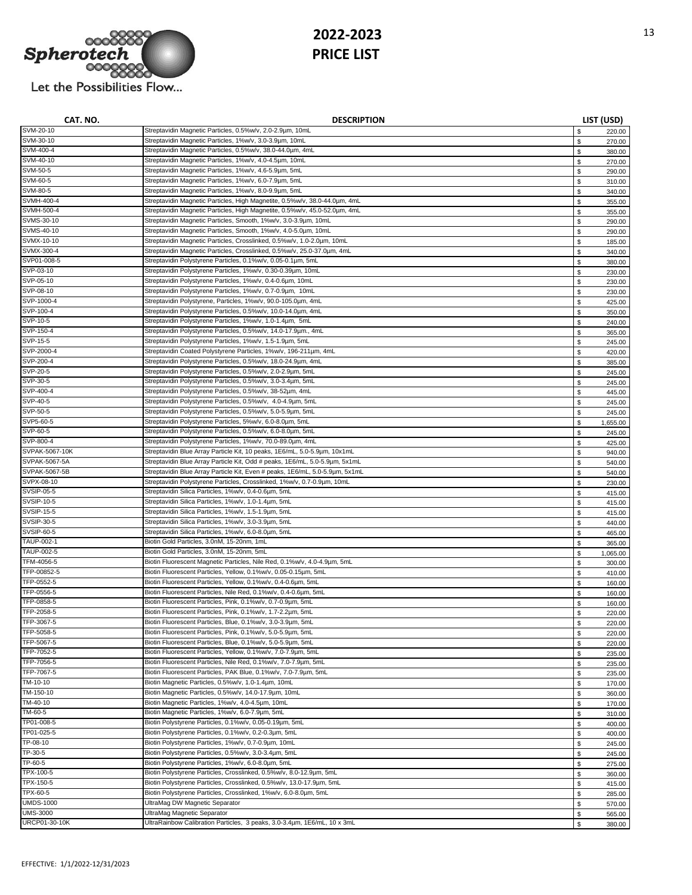

| CAT. NO.                    | <b>DESCRIPTION</b>                                                                                                                 |                   | LIST (USD)       |
|-----------------------------|------------------------------------------------------------------------------------------------------------------------------------|-------------------|------------------|
| SVM-20-10                   | Streptavidin Magnetic Particles, 0.5%w/v, 2.0-2.9µm, 10mL                                                                          | \$                | 220.00           |
| SVM-30-10                   | Streptavidin Magnetic Particles, 1%w/v, 3.0-3.9µm, 10mL                                                                            | \$                | 270.00           |
| SVM-400-4                   | Streptavidin Magnetic Particles, 0.5%w/v, 38.0-44.0um, 4mL                                                                         | \$                | 380.00           |
| SVM-40-10                   | Streptavidin Magnetic Particles, 1%w/v, 4.0-4.5um, 10mL                                                                            | $\mathbb S$       | 270.00           |
| SVM-50-5                    | Streptavidin Magnetic Particles, 1%w/v, 4.6-5.9µm, 5mL                                                                             | \$                | 290.00           |
| SVM-60-5                    | Streptavidin Magnetic Particles, 1%w/v, 6.0-7.9µm, 5mL                                                                             | $\mathbb S$       | 310.00           |
| SVM-80-5                    | Streptavidin Magnetic Particles, 1%w/v, 8.0-9.9um, 5mL                                                                             | \$                | 340.00           |
| SVMH-400-4<br>SVMH-500-4    | Streptavidin Magnetic Particles, High Magnetite, 0.5%w/v, 38.0-44.0um, 4mL                                                         | \$                | 355.00           |
| SVMS-30-10                  | Streptavidin Magnetic Particles, High Magnetite, 0.5%w/v, 45.0-52.0um, 4mL                                                         | \$                | 355.00           |
| SVMS-40-10                  | Streptavidin Magnetic Particles, Smooth, 1%w/v, 3.0-3.9um, 10mL<br>Streptavidin Magnetic Particles, Smooth, 1%w/v, 4.0-5.0um, 10mL | \$                | 290.00           |
| SVMX-10-10                  | Streptavidin Magnetic Particles, Crosslinked, 0.5%w/v, 1.0-2.0um, 10mL                                                             | \$                | 290.00           |
| SVMX-300-4                  | Streptavidin Magnetic Particles, Crosslinked, 0.5%w/v, 25.0-37.0um, 4mL                                                            | \$<br>\$          | 185.00<br>340.00 |
| SVP01-008-5                 | Streptavidin Polystyrene Particles, 0.1%w/v, 0.05-0.1µm, 5mL                                                                       | $\mathbb S$       | 380.00           |
| SVP-03-10                   | Streptavidin Polystyrene Particles, 1%w/v, 0.30-0.39um, 10mL                                                                       | \$                | 230.00           |
| SVP-05-10                   | Streptavidin Polystyrene Particles, 1%w/v, 0.4-0.6µm, 10mL                                                                         | \$                | 230.00           |
| SVP-08-10                   | Streptavidin Polystyrene Particles, 1%w/v, 0.7-0.9µm, 10mL                                                                         | \$                | 230.00           |
| SVP-1000-4                  | Streptavidin Polystyrene, Particles, 1%w/v, 90.0-105.0um, 4mL                                                                      | \$                | 425.00           |
| SVP-100-4                   | Streptavidin Polystyrene Particles, 0.5%w/v, 10.0-14.0µm, 4mL                                                                      | \$                | 350.00           |
| SVP-10-5                    | Streptavidin Polystyrene Particles, 1%w/v, 1.0-1.4um, 5mL                                                                          | \$                | 240.00           |
| SVP-150-4                   | Streptavidin Polystyrene Particles, 0.5%w/v, 14.0-17.9µm., 4mL                                                                     | \$                | 365.00           |
| SVP-15-5                    | Streptavidin Polystyrene Particles, 1%w/v, 1.5-1.9um, 5mL                                                                          | \$                | 245.00           |
| SVP-2000-4                  | Streptavidin Coated Polystyrene Particles, 1%w/v, 196-211um, 4mL                                                                   | \$                | 420.00           |
| SVP-200-4                   | Streptavidin Polystyrene Particles, 0.5%w/v, 18.0-24.9um, 4mL                                                                      | \$                | 385.00           |
| SVP-20-5                    | Streptavidin Polystyrene Particles, 0.5%w/v, 2.0-2.9µm, 5mL                                                                        | \$                | 245.00           |
| SVP-30-5                    | Streptavidin Polystyrene Particles, 0.5%w/v, 3.0-3.4µm, 5mL                                                                        | \$                | 245.00           |
| SVP-400-4                   | Streptavidin Polystyrene Particles, 0.5%w/v, 38-52µm, 4mL                                                                          | $\mathbb{S}$      | 445.00           |
| SVP-40-5                    | Streptavidin Polystyrene Particles, 0.5%w/v, 4.0-4.9µm, 5mL                                                                        | \$                | 245.00           |
| SVP-50-5                    | Streptavidin Polystyrene Particles, 0.5%w/v, 5.0-5.9µm, 5mL                                                                        | $\mathbb S$       | 245.00           |
| SVP5-60-5                   | Streptavidin Polystyrene Particles, 5%w/v, 6.0-8.0um, 5mL                                                                          | \$                | 1,655.00         |
| SVP-60-5                    | Streptavidin Polystyrene Particles, 0.5%w/v, 6.0-8.0um, 5mL                                                                        | $\mathbb S$       | 245.00           |
| SVP-800-4                   | Streptavidin Polystyrene Particles, 1%w/v, 70.0-89.0µm, 4mL                                                                        | \$                | 425.00           |
| SVPAK-5067-10K              | Streptavidin Blue Array Particle Kit, 10 peaks, 1E6/mL, 5.0-5.9um, 10x1mL                                                          | \$                | 940.00           |
| SVPAK-5067-5A               | Streptavidin Blue Array Particle Kit, Odd # peaks, 1E6/mL, 5.0-5.9µm, 5x1mL                                                        | \$                | 540.00           |
| SVPAK-5067-5B<br>SVPX-08-10 | Streptavidin Blue Array Particle Kit, Even # peaks, 1E6/mL, 5.0-5.9µm, 5x1mL                                                       | \$                | 540.00           |
| SVSIP-05-5                  | Streptavidin Polystyrene Particles, Crosslinked, 1%w/v, 0.7-0.9µm, 10mL<br>Streptavidin Silica Particles, 1%w/v, 0.4-0.6µm, 5mL    | \$                | 230.00           |
| SVSIP-10-5                  | Streptavidin Silica Particles, 1%w/v, 1.0-1.4um, 5mL                                                                               | \$                | 415.00           |
| SVSIP-15-5                  | Streptavidin Silica Particles, 1%w/v, 1.5-1.9µm, 5mL                                                                               | \$<br>$\mathbb S$ | 415.00           |
| SVSIP-30-5                  | Streptavidin Silica Particles, 1%w/v, 3.0-3.9µm, 5mL                                                                               | \$                | 415.00<br>440.00 |
| SVSIP-60-5                  | Streptavidin Silica Particles, 1%w/v, 6.0-8.0µm, 5mL                                                                               | \$                | 465.00           |
| TAUP-002-1                  | Biotin Gold Particles, 3.0nM, 15-20nm, 1mL                                                                                         | \$                | 365.00           |
| TAUP-002-5                  | Biotin Gold Particles, 3.0nM, 15-20nm, 5mL                                                                                         | \$                | 1,065.00         |
| TFM-4056-5                  | Biotin Fluorescent Magnetic Particles, Nile Red, 0.1%w/v, 4.0-4.9µm, 5mL                                                           | \$                | 300.00           |
| TFP-00852-5                 | Biotin Fluorescent Particles, Yellow, 0.1%w/v, 0.05-0.15um, 5mL                                                                    | \$                | 410.00           |
| TFP-0552-5                  | Biotin Fluorescent Particles, Yellow, 0.1%w/v, 0.4-0.6µm, 5mL                                                                      | \$                | 160.00           |
| TFP-0556-5                  | Biotin Fluorescent Particles, Nile Red, 0.1%w/v, 0.4-0.6um, 5mL                                                                    | \$                | 160.00           |
| TFP-0858-5                  | Biotin Fluorescent Particles, Pink, 0.1%w/v, 0.7-0.9um, 5mL                                                                        | \$                | 160.00           |
| TFP-2058-5                  | Biotin Fluorescent Particles, Pink, 0.1%w/v, 1.7-2.2um, 5mL                                                                        | \$                | 220.00           |
| TFP-3067-5                  | Biotin Fluorescent Particles, Blue, 0.1%w/v, 3.0-3.9µm, 5mL                                                                        |                   | 220.00           |
| TFP-5058-5                  | Biotin Fluorescent Particles, Pink, 0.1%w/v, 5.0-5.9µm, 5mL                                                                        | \$                | 220.00           |
| TFP-5067-5                  | Biotin Fluorescent Particles, Blue, 0.1%w/v, 5.0-5.9µm, 5mL                                                                        | $\mathbb S$       | 220.00           |
| TFP-7052-5                  | Biotin Fluorescent Particles, Yellow, 0.1%w/v, 7.0-7.9µm, 5mL                                                                      | \$                | 235.00           |
| TFP-7056-5                  | Biotin Fluorescent Particles, Nile Red, 0.1%w/v, 7.0-7.9µm, 5mL                                                                    | $\mathbb S$       | 235.00           |
| TFP-7067-5                  | Biotin Fluorescent Particles, PAK Blue, 0.1%w/v, 7.0-7.9µm, 5mL                                                                    | \$                | 235.00           |
| TM-10-10                    | Biotin Magnetic Particles, 0.5%w/v, 1.0-1.4um, 10mL                                                                                | \$                | 170.00           |
| TM-150-10                   | Biotin Magnetic Particles, 0.5%w/v, 14.0-17.9µm, 10mL                                                                              | \$                | 360.00           |
| TM-40-10                    | Biotin Magnetic Particles, 1%w/v, 4.0-4.5um, 10mL                                                                                  | \$                | 170.00           |
| TM-60-5                     | Biotin Magnetic Particles, 1%w/v, 6.0-7.9um, 5mL                                                                                   | \$                | 310.00           |
| TP01-008-5                  | Biotin Polystyrene Particles, 0.1%w/v, 0.05-0.19um, 5mL<br>Biotin Polystyrene Particles, 0.1%w/v, 0.2-0.3um, 5mL                   | \$                | 400.00           |
| TP01-025-5                  | Biotin Polystyrene Particles, 1%w/v, 0.7-0.9µm, 10mL                                                                               | \$                | 400.00           |
| TP-08-10<br>TP-30-5         | Biotin Polystyrene Particles, 0.5%w/v, 3.0-3.4um, 5mL                                                                              | \$                | 245.00           |
| TP-60-5                     | Biotin Polystyrene Particles, 1%w/v, 6.0-8.0um, 5mL                                                                                | \$                | 245.00           |
| TPX-100-5                   | Biotin Polystyrene Particles, Crosslinked, 0.5%w/v, 8.0-12.9µm, 5mL                                                                | \$                | 275.00           |
| TPX-150-5                   | Biotin Polystyrene Particles, Crosslinked, 0.5%w/v, 13.0-17.9µm, 5mL                                                               | \$                | 360.00           |
| TPX-60-5                    | Biotin Polystyrene Particles, Crosslinked, 1%w/v, 6.0-8.0um, 5mL                                                                   | \$<br>\$          | 415.00<br>285.00 |
| <b>UMDS-1000</b>            | UltraMag DW Magnetic Separator                                                                                                     | \$                | 570.00           |
| UMS-3000                    | UltraMag Magnetic Separator                                                                                                        | \$                | 565.00           |
| URCP01-30-10K               | UltraRainbow Calibration Particles, 3 peaks, 3.0-3.4um, 1E6/mL, 10 x 3mL                                                           | \$                | 380.00           |
|                             |                                                                                                                                    |                   |                  |